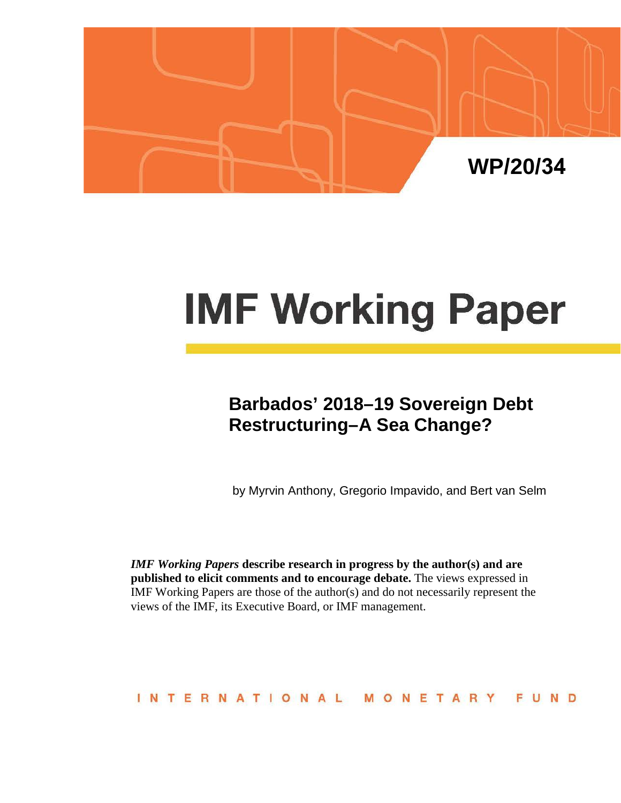

# **IMF Working Paper**

# **Barbados' 2018–19 Sovereign Debt Restructuring–A Sea Change?**

by Myrvin Anthony, Gregorio Impavido, and Bert van Selm

*IMF Working Papers* **describe research in progress by the author(s) and are published to elicit comments and to encourage debate.** The views expressed in IMF Working Papers are those of the author(s) and do not necessarily represent the views of the IMF, its Executive Board, or IMF management.

#### INTERNATIONAL MONETARY FUND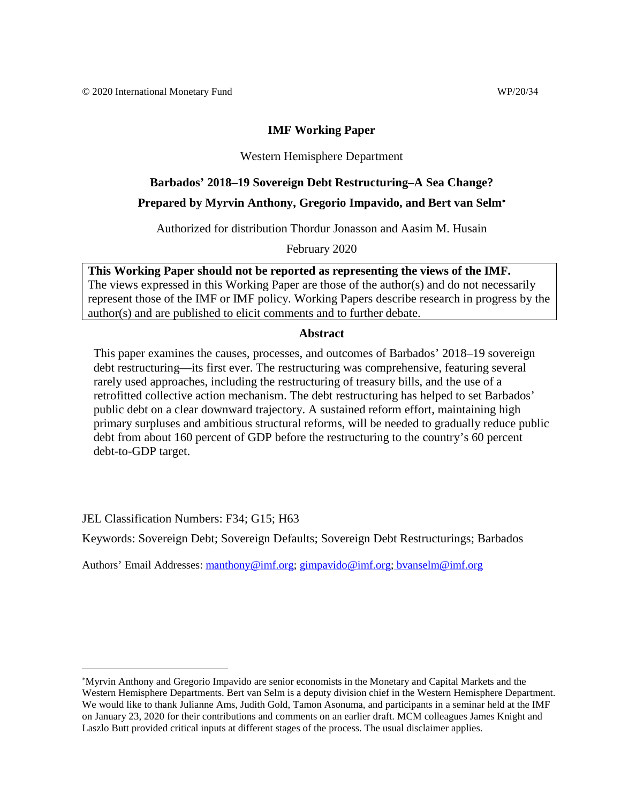# **IMF Working Paper**

# Western Hemisphere Department

# **Barbados' 2018–19 Sovereign Debt Restructuring–A Sea Change?**

# **Prepared by Myrvin Anthony, Gregorio Impavido, and Bert van Selm**[∗](#page-1-0)

Authorized for distribution Thordur Jonasson and Aasim M. Husain

February 2020

**This Working Paper should not be reported as representing the views of the IMF.** The views expressed in this Working Paper are those of the author(s) and do not necessarily represent those of the IMF or IMF policy. Working Papers describe research in progress by the author(s) and are published to elicit comments and to further debate.

#### **Abstract**

This paper examines the causes, processes, and outcomes of Barbados' 2018–19 sovereign debt restructuring—its first ever. The restructuring was comprehensive, featuring several rarely used approaches, including the restructuring of treasury bills, and the use of a retrofitted collective action mechanism. The debt restructuring has helped to set Barbados' public debt on a clear downward trajectory. A sustained reform effort, maintaining high primary surpluses and ambitious structural reforms, will be needed to gradually reduce public debt from about 160 percent of GDP before the restructuring to the country's 60 percent debt-to-GDP target.

JEL Classification Numbers: F34; G15; H63

Keywords: Sovereign Debt; Sovereign Defaults; Sovereign Debt Restructurings; Barbados

Authors' Email Addresses: [manthony@imf.org;](mailto:manthony@imf.org) [gimpavido@imf.org;](mailto:gimpavido@imf.org) bvanselm@imf.org

<span id="page-1-0"></span><sup>∗</sup> Myrvin Anthony and Gregorio Impavido are senior economists in the Monetary and Capital Markets and the Western Hemisphere Departments. Bert van Selm is a deputy division chief in the Western Hemisphere Department. We would like to thank Julianne Ams, Judith Gold, Tamon Asonuma, and participants in a seminar held at the IMF on January 23, 2020 for their contributions and comments on an earlier draft. MCM colleagues James Knight and Laszlo Butt provided critical inputs at different stages of the process. The usual disclaimer applies.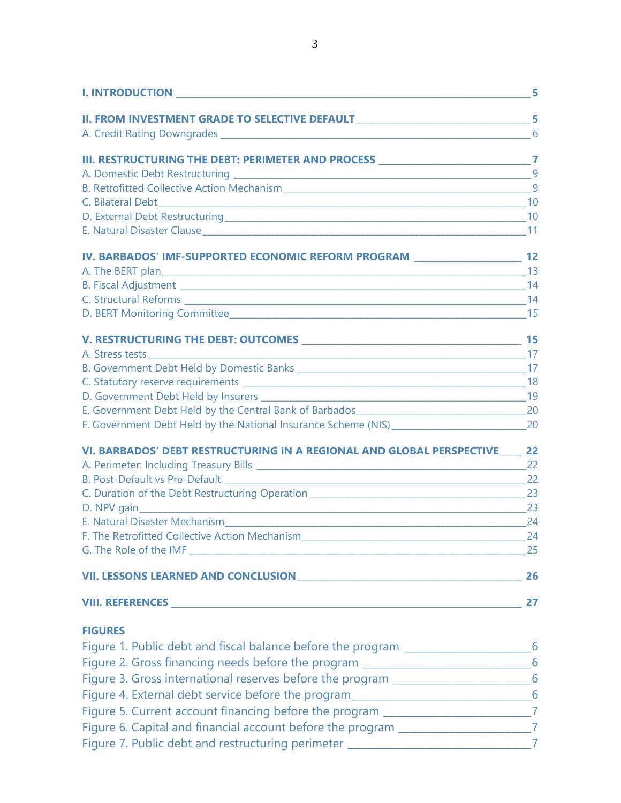| $\sim$ $\sim$ $\sim$ 5                                                              |    |
|-------------------------------------------------------------------------------------|----|
| II. FROM INVESTMENT GRADE TO SELECTIVE DEFAULT__________________________________5   |    |
|                                                                                     | 6  |
| III. RESTRUCTURING THE DEBT: PERIMETER AND PROCESS _____________________________7   |    |
|                                                                                     |    |
|                                                                                     |    |
|                                                                                     |    |
|                                                                                     |    |
|                                                                                     |    |
| IV. BARBADOS' IMF-SUPPORTED ECONOMIC REFORM PROGRAM ____________________________ 12 |    |
|                                                                                     |    |
|                                                                                     |    |
|                                                                                     |    |
|                                                                                     |    |
|                                                                                     |    |
|                                                                                     |    |
|                                                                                     |    |
|                                                                                     |    |
|                                                                                     |    |
|                                                                                     |    |
|                                                                                     |    |
| VI. BARBADOS' DEBT RESTRUCTURING IN A REGIONAL AND GLOBAL PERSPECTIVE 22            |    |
|                                                                                     |    |
|                                                                                     |    |
|                                                                                     |    |
|                                                                                     |    |
| F. The Retrofitted Collective Action Mechanism<br>$\sim$ 24                         |    |
|                                                                                     |    |
|                                                                                     |    |
|                                                                                     | 27 |
| <b>FIGURES</b>                                                                      |    |
| Figure 1. Public debt and fiscal balance before the program _____________________6  |    |
| Figure 2. Gross financing needs before the program ______________________________6  |    |
| Figure 3. Gross international reserves before the program ______________________6   |    |
| Figure 4. External debt service before the program _____________________________6   |    |
| Figure 5. Current account financing before the program _________________________7   |    |
| Figure 6. Capital and financial account before the program _____________________7   |    |
| Figure 7. Public debt and restructuring perimeter _______________________________7  |    |
|                                                                                     |    |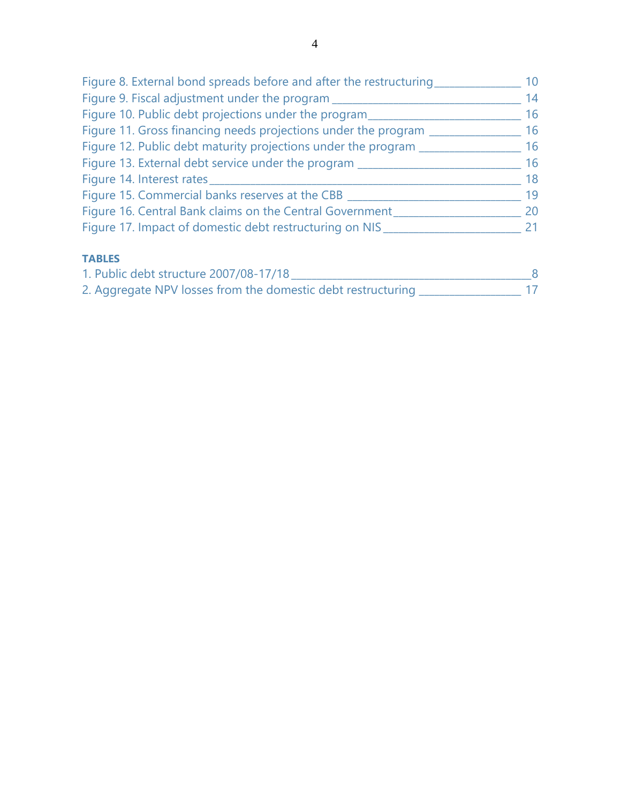| Figure 8. External bond spreads before and after the restructuring | 10 |
|--------------------------------------------------------------------|----|
| Figure 9. Fiscal adjustment under the program                      | 14 |
| Figure 10. Public debt projections under the program               | 16 |
| Figure 11. Gross financing needs projections under the program     | 16 |
| Figure 12. Public debt maturity projections under the program ____ | 16 |
| Figure 13. External debt service under the program                 | 16 |
| Figure 14. Interest rates                                          | 18 |
| Figure 15. Commercial banks reserves at the CBB ___                | 19 |
| Figure 16. Central Bank claims on the Central Government           | 20 |
| Figure 17. Impact of domestic debt restructuring on NIS            | 21 |
| <b>TABLES</b>                                                      |    |
|                                                                    |    |

| 1. Public debt structure 2007/08-17/18                       |  |
|--------------------------------------------------------------|--|
| 2. Aggregate NPV losses from the domestic debt restructuring |  |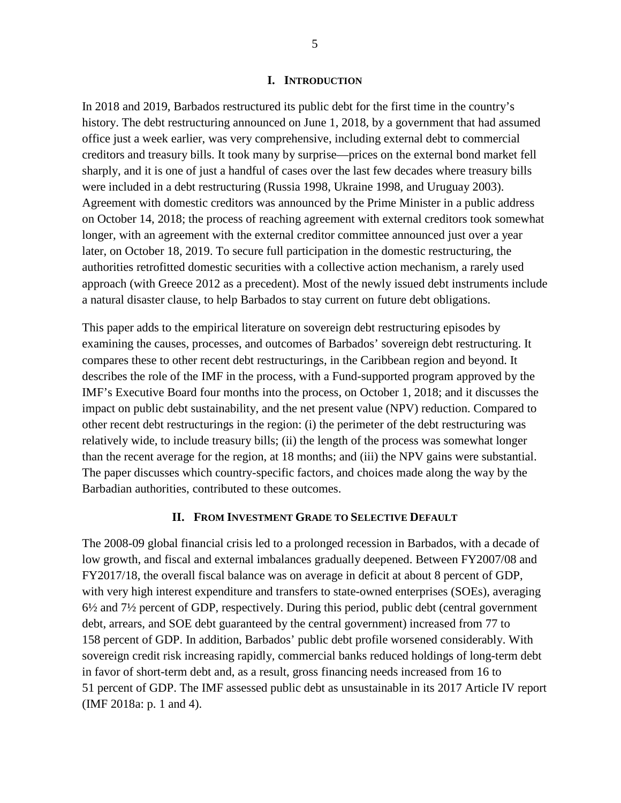#### **I. INTRODUCTION**

In 2018 and 2019, Barbados restructured its public debt for the first time in the country's history. The debt restructuring announced on June 1, 2018, by a government that had assumed office just a week earlier, was very comprehensive, including external debt to commercial creditors and treasury bills. It took many by surprise—prices on the external bond market fell sharply, and it is one of just a handful of cases over the last few decades where treasury bills were included in a debt restructuring (Russia 1998, Ukraine 1998, and Uruguay 2003). Agreement with domestic creditors was announced by the Prime Minister in a public address on October 14, 2018; the process of reaching agreement with external creditors took somewhat longer, with an agreement with the external creditor committee announced just over a year later, on October 18, 2019. To secure full participation in the domestic restructuring, the authorities retrofitted domestic securities with a collective action mechanism, a rarely used approach (with Greece 2012 as a precedent). Most of the newly issued debt instruments include a natural disaster clause, to help Barbados to stay current on future debt obligations.

This paper adds to the empirical literature on sovereign debt restructuring episodes by examining the causes, processes, and outcomes of Barbados' sovereign debt restructuring. It compares these to other recent debt restructurings, in the Caribbean region and beyond. It describes the role of the IMF in the process, with a Fund-supported program approved by the IMF's Executive Board four months into the process, on October 1, 2018; and it discusses the impact on public debt sustainability, and the net present value (NPV) reduction. Compared to other recent debt restructurings in the region: (i) the perimeter of the debt restructuring was relatively wide, to include treasury bills; (ii) the length of the process was somewhat longer than the recent average for the region, at 18 months; and (iii) the NPV gains were substantial. The paper discusses which country-specific factors, and choices made along the way by the Barbadian authorities, contributed to these outcomes.

#### **II. FROM INVESTMENT GRADE TO SELECTIVE DEFAULT**

The 2008-09 global financial crisis led to a prolonged recession in Barbados, with a decade of low growth, and fiscal and external imbalances gradually deepened. Between FY2007/08 and FY2017/18, the overall fiscal balance was on average in deficit at about 8 percent of GDP, with very high interest expenditure and transfers to state-owned enterprises (SOEs), averaging 6½ and 7½ percent of GDP, respectively. During this period, public debt (central government debt, arrears, and SOE debt guaranteed by the central government) increased from 77 to 158 percent of GDP. In addition, Barbados' public debt profile worsened considerably. With sovereign credit risk increasing rapidly, commercial banks reduced holdings of long-term debt in favor of short-term debt and, as a result, gross financing needs increased from 16 to 51 percent of GDP. The IMF assessed public debt as unsustainable in its 2017 Article IV report (IMF 2018a: p. 1 and 4).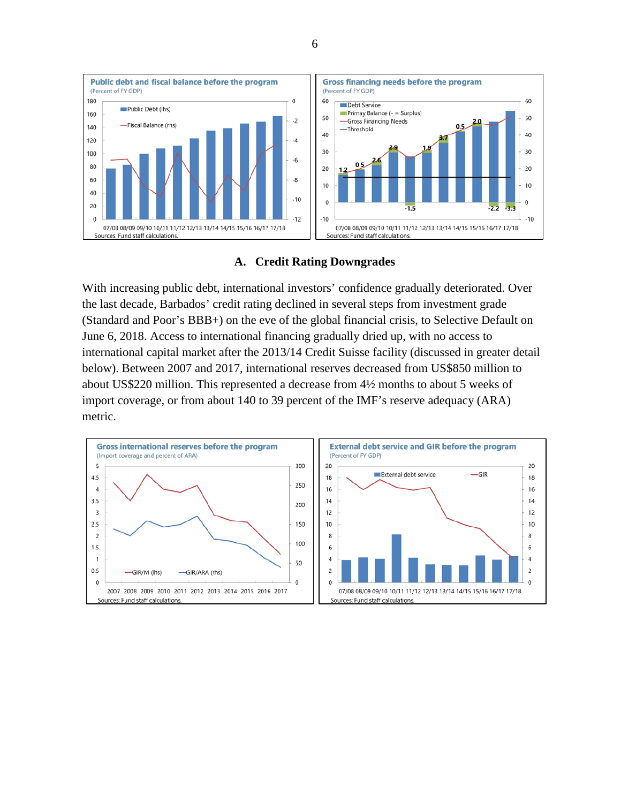

#### **A. Credit Rating Downgrades**

With increasing public debt, international investors' confidence gradually deteriorated. Over the last decade, Barbados' credit rating declined in several steps from investment grade (Standard and Poor's BBB+) on the eve of the global financial crisis, to Selective Default on June 6, 2018. Access to international financing gradually dried up, with no access to international capital market after the 2013/14 Credit Suisse facility (discussed in greater detail below). Between 2007 and 2017, international reserves decreased from US\$850 million to about US\$220 million. This represented a decrease from 4½ months to about 5 weeks of import coverage, or from about 140 to 39 percent of the IMF's reserve adequacy (ARA) metric.



6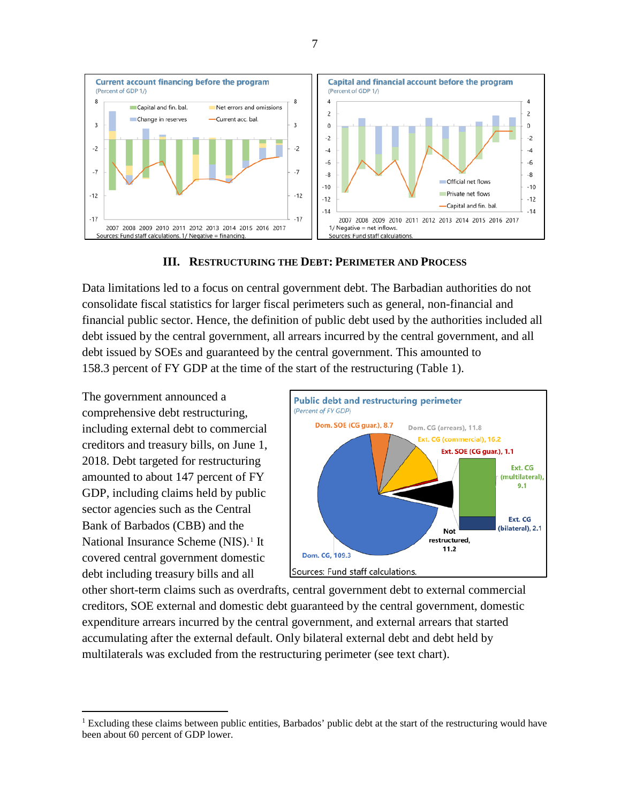<span id="page-6-0"></span>

#### **III. RESTRUCTURING THE DEBT: PERIMETER AND PROCESS**

Data limitations led to a focus on central government debt. The Barbadian authorities do not consolidate fiscal statistics for larger fiscal perimeters such as general, non-financial and financial public sector. Hence, the definition of public debt used by the authorities included all debt issued by the central government, all arrears incurred by the central government, and all debt issued by SOEs and guaranteed by the central government. This amounted to 158.3 percent of FY GDP at the time of the start of the restructuring [\(Table 1\)](#page-6-0).

The government announced a comprehensive debt restructuring, including external debt to commercial creditors and treasury bills, on June 1, 2018. Debt targeted for restructuring amounted to about 147 percent of FY GDP, including claims held by public sector agencies such as the Central Bank of Barbados (CBB) and the National Insurance Scheme (NIS).<sup>[1](#page-6-1)</sup> It covered central government domestic debt including treasury bills and all



other short-term claims such as overdrafts, central government debt to external commercial creditors, SOE external and domestic debt guaranteed by the central government, domestic expenditure arrears incurred by the central government, and external arrears that started accumulating after the external default. Only bilateral external debt and debt held by multilaterals was excluded from the restructuring perimeter (see text chart).

<span id="page-6-1"></span><sup>&</sup>lt;sup>1</sup> Excluding these claims between public entities, Barbados' public debt at the start of the restructuring would have been about 60 percent of GDP lower.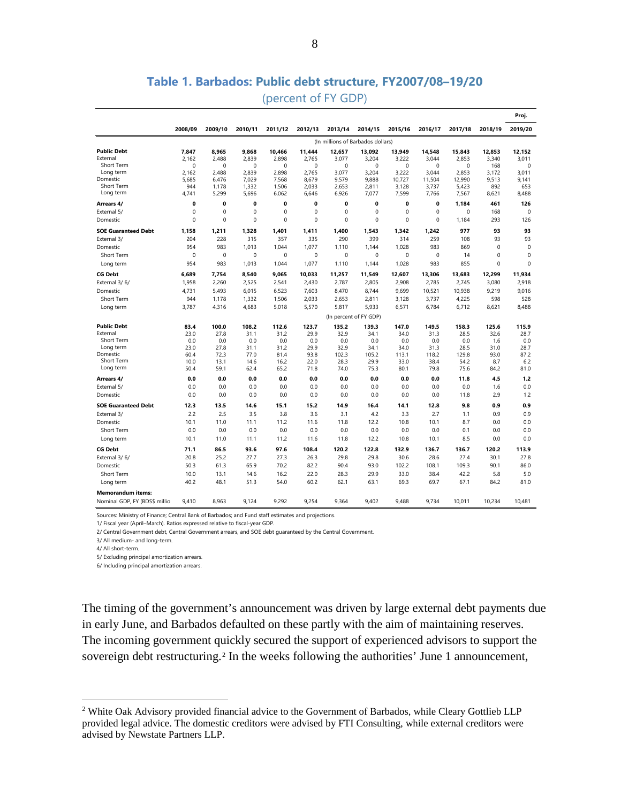|                                |                                   |                |                |                 |                 |                 |                        |                 |                 |                 |                 | Proj.           |
|--------------------------------|-----------------------------------|----------------|----------------|-----------------|-----------------|-----------------|------------------------|-----------------|-----------------|-----------------|-----------------|-----------------|
|                                | 2008/09                           | 2009/10        | 2010/11        | 2011/12         | 2012/13         | 2013/14         | 2014/15                | 2015/16         | 2016/17         | 2017/18         | 2018/19         | 2019/20         |
|                                | (In millions of Barbados dollars) |                |                |                 |                 |                 |                        |                 |                 |                 |                 |                 |
| <b>Public Debt</b><br>External | 7.847<br>2,162                    | 8,965<br>2,488 | 9,868<br>2,839 | 10,466<br>2,898 | 11,444<br>2,765 | 12,657<br>3,077 | 13,092<br>3,204        | 13,949<br>3,222 | 14,548<br>3,044 | 15,843<br>2,853 | 12,853<br>3,340 | 12,152<br>3,011 |
| Short Term                     | $\Omega$                          | $\Omega$       | $\Omega$       | $\Omega$        | $\Omega$        | 0               | $\mathbf 0$            | $\Omega$        | $\Omega$        | 0               | 168             | $\Omega$        |
| Long term                      | 2,162                             | 2,488          | 2,839          | 2,898           | 2,765           | 3,077           | 3,204                  | 3,222           | 3.044           | 2,853           | 3,172           | 3.011           |
| Domestic                       | 5,685                             | 6,476          | 7,029          | 7,568           | 8,679           | 9,579           | 9,888                  | 10,727          | 11,504          | 12,990          | 9,513           | 9.141           |
| Short Term                     | 944                               | 1,178          | 1,332          | 1,506           | 2,033           | 2,653           | 2,811                  | 3,128           | 3,737           | 5,423           | 892             | 653             |
| Long term                      | 4,741                             | 5,299          | 5,696          | 6,062           | 6,646           | 6,926           | 7,077                  | 7,599           | 7,766           | 7,567           | 8,621           | 8,488           |
| Arrears 4/                     | 0                                 | 0              | 0              | $\mathbf{0}$    | 0               | 0               | 0                      | 0               | 0               | 1,184           | 461             | 126             |
| External 5/                    | 0                                 | 0              | $\mathbf 0$    | 0               | $\mathbf 0$     | 0               | $\mathbf 0$            | 0               | 0               | 0               | 168             | $\mathbf 0$     |
| Domestic                       | 0                                 | 0              | 0              | 0               | $\mathbf 0$     | 0               | $\mathbf 0$            | 0               | 0               | 1,184           | 293             | 126             |
| <b>SOE Guaranteed Debt</b>     | 1,158                             | 1,211          | 1,328          | 1,401           | 1.411           | 1.400           | 1,543                  | 1,342           | 1,242           | 977             | 93              | 93              |
| External 3/                    | 204                               | 228            | 315            | 357             | 335             | 290             | 399                    | 314             | 259             | 108             | 93              | 93              |
| Domestic                       | 954                               | 983            | 1,013          | 1.044           | 1,077           | 1.110           | 1,144                  | 1,028           | 983             | 869             | $\mathbf 0$     | $\mathbf 0$     |
| <b>Short Term</b>              | $\Omega$                          | 0              | 0              | 0               | $\mathbf 0$     | 0               | $\Omega$               | 0               | $\Omega$        | 14              | $\mathbf 0$     | $\mathbf 0$     |
| Long term                      | 954                               | 983            | 1,013          | 1,044           | 1,077           | 1,110           | 1,144                  | 1,028           | 983             | 855             | $\mathbf 0$     | $\mathbf 0$     |
| <b>CG Debt</b>                 | 6,689                             | 7,754          | 8,540          | 9,065           | 10,033          | 11,257          | 11,549                 | 12,607          | 13,306          | 13,683          | 12,299          | 11,934          |
| External 3/6/                  | 1.958                             | 2.260          | 2,525          | 2.541           | 2.430           | 2.787           | 2.805                  | 2.908           | 2.785           | 2.745           | 3,080           | 2.918           |
| Domestic                       | 4,731                             | 5,493          | 6,015          | 6,523           | 7,603           | 8.470           | 8.744                  | 9.699           | 10,521          | 10,938          | 9,219           | 9,016           |
| Short Term                     | 944                               | 1,178          | 1,332          | 1,506           | 2,033           | 2,653           | 2,811                  | 3,128           | 3,737           | 4,225           | 598             | 528             |
| Long term                      | 3,787                             | 4,316          | 4,683          | 5,018           | 5,570           | 5,817           | 5,933                  | 6,571           | 6,784           | 6,712           | 8,621           | 8,488           |
|                                |                                   |                |                |                 |                 |                 | (In percent of FY GDP) |                 |                 |                 |                 |                 |
| <b>Public Debt</b>             | 83.4                              | 100.0          | 108.2          | 112.6           | 123.7           | 135.2           | 139.3                  | 147.0           | 149.5           | 158.3           | 125.6           | 115.9           |
| External                       | 23.0                              | 27.8           | 31.1           | 31.2            | 29.9            | 32.9            | 34.1                   | 34.0            | 31.3            | 28.5            | 32.6            | 28.7            |
| Short Term                     | 0.0                               | 0.0            | 0.0            | 0.0             | 0.0             | 0.0             | 0.0                    | 0.0             | 0.0             | 0.0             | 1.6             | 0.0             |
| Long term                      | 23.0                              | 27.8           | 31.1           | 31.2            | 29.9            | 32.9            | 34.1                   | 34.0            | 31.3            | 28.5            | 31.0            | 28.7            |
| Domestic<br>Short Term         | 60.4                              | 72.3           | 77.0           | 81.4            | 93.8            | 102.3           | 105.2                  | 113.1           | 118.2           | 129.8           | 93.0            | 87.2            |
| Long term                      | 10.0<br>50.4                      | 13.1<br>59.1   | 14.6<br>62.4   | 16.2<br>65.2    | 22.0<br>71.8    | 28.3<br>74.0    | 29.9<br>75.3           | 33.0<br>80.1    | 38.4<br>79.8    | 54.2<br>75.6    | 8.7<br>84.2     | 6.2<br>81.0     |
|                                |                                   |                |                |                 |                 |                 |                        |                 |                 |                 |                 |                 |
| Arrears 4/                     | 0.0                               | 0.0            | 0.0            | 0.0             | $0.0\,$         | 0.0             | 0.0                    | 0.0             | 0.0             | 11.8            | 4.5             | 1.2             |
| External 5/<br>Domestic        | 0.0<br>0.0                        | 0.0<br>0.0     | 0.0<br>0.0     | 0.0<br>0.0      | 0.0<br>0.0      | 0.0<br>0.0      | 0.0<br>0.0             | 0.0<br>0.0      | 0.0<br>0.0      | 0.0<br>11.8     | 1.6<br>2.9      | 0.0<br>1.2      |
|                                |                                   |                |                |                 |                 |                 |                        |                 |                 |                 |                 |                 |
| <b>SOE Guaranteed Debt</b>     | 12.3                              | 13.5           | 14.6           | 15.1            | 15.2            | 14.9            | 16.4                   | 14.1            | 12.8            | 9.8             | 0.9             | 0.9             |
| External 3/                    | 2.2                               | 2.5            | 3.5            | 3.8             | 3.6             | 3.1             | 4.2                    | 3.3             | 2.7             | 1.1             | 0.9             | 0.9             |
| Domestic                       | 10.1                              | 11.0           | 11.1           | 11.2            | 11.6            | 11.8            | 12.2                   | 10.8            | 10.1            | 8.7             | 0.0             | 0.0             |
| Short Term                     | 0.0                               | 0.0            | 0.0            | 0.0             | 0.0             | 0.0             | 0.0                    | 0.0             | 0.0             | 0.1             | 0.0             | 0.0             |
| Long term                      | 10.1                              | 11.0           | 11.1           | 11.2            | 11.6            | 11.8            | 12.2                   | 10.8            | 10.1            | 8.5             | 0.0             | 0.0             |
| <b>CG Debt</b>                 | 71.1                              | 86.5           | 93.6           | 97.6            | 108.4           | 120.2           | 122.8                  | 132.9           | 136.7           | 136.7           | 120.2           | 113.9           |
| External 3/6/                  | 20.8                              | 25.2           | 27.7           | 27.3            | 26.3            | 29.8            | 29.8                   | 30.6            | 28.6            | 27.4            | 30.1            | 27.8            |
| Domestic                       | 50.3                              | 61.3           | 65.9           | 70.2            | 82.2            | 90.4            | 93.0                   | 102.2           | 108.1           | 109.3           | 90.1            | 86.0            |
| Short Term                     | 10.0                              | 13.1           | 14.6           | 16.2            | 22.0            | 28.3            | 29.9                   | 33.0            | 38.4            | 42.2            | 5.8             | 5.0             |
| Long term                      | 40.2                              | 48.1           | 51.3           | 54.0            | 60.2            | 62.1            | 63.1                   | 69.3            | 69.7            | 67.1            | 84.2            | 81.0            |
| <b>Memorandum items:</b>       |                                   |                |                |                 |                 |                 |                        |                 |                 |                 |                 |                 |
| Nominal GDP, FY (BDS\$ millio  | 9,410                             | 8,963          | 9,124          | 9,292           | 9,254           | 9,364           | 9,402                  | 9,488           | 9,734           | 10,011          | 10,234          | 10,481          |

# **Table 1. Barbados: Public debt structure, FY2007/08–19/20**

(percent of FY GDP)

Sources: Ministry of Finance; Central Bank of Barbados; and Fund staff estimates and projections.

1/ Fiscal year (April–March). Ratios expressed relative to fiscal-year GDP.

2/ Central Government debt, Central Government arrears, and SOE debt guaranteed by the Central Government.

3/ All medium- and long-term.

4/ All short-term.

5/ Excluding principal amortization arrears.

6/ Including principal amortization arrears.

The timing of the government's announcement was driven by large external debt payments due in early June, and Barbados defaulted on these partly with the aim of maintaining reserves. The incoming government quickly secured the support of experienced advisors to support the sovereign debt restructuring.<sup>[2](#page-7-0)</sup> In the weeks following the authorities' June 1 announcement,

<span id="page-7-0"></span> <sup>2</sup> White Oak Advisory provided financial advice to the Government of Barbados, while Cleary Gottlieb LLP provided legal advice. The domestic creditors were advised by FTI Consulting, while external creditors were advised by Newstate Partners LLP.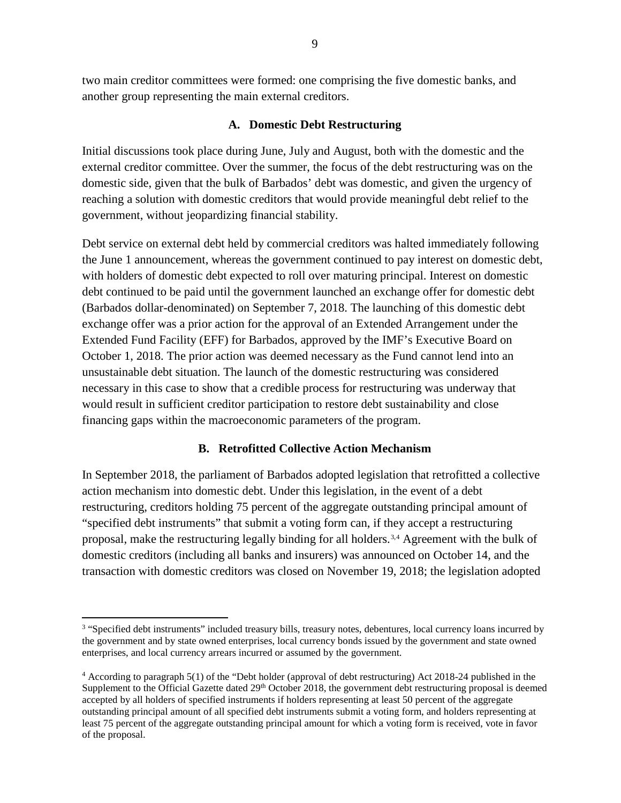two main creditor committees were formed: one comprising the five domestic banks, and another group representing the main external creditors.

#### **A. Domestic Debt Restructuring**

Initial discussions took place during June, July and August, both with the domestic and the external creditor committee. Over the summer, the focus of the debt restructuring was on the domestic side, given that the bulk of Barbados' debt was domestic, and given the urgency of reaching a solution with domestic creditors that would provide meaningful debt relief to the government, without jeopardizing financial stability.

Debt service on external debt held by commercial creditors was halted immediately following the June 1 announcement, whereas the government continued to pay interest on domestic debt, with holders of domestic debt expected to roll over maturing principal. Interest on domestic debt continued to be paid until the government launched an exchange offer for domestic debt (Barbados dollar-denominated) on September 7, 2018. The launching of this domestic debt exchange offer was a prior action for the approval of an Extended Arrangement under the Extended Fund Facility (EFF) for Barbados, approved by the IMF's Executive Board on October 1, 2018. The prior action was deemed necessary as the Fund cannot lend into an unsustainable debt situation. The launch of the domestic restructuring was considered necessary in this case to show that a credible process for restructuring was underway that would result in sufficient creditor participation to restore debt sustainability and close financing gaps within the macroeconomic parameters of the program.

# **B. Retrofitted Collective Action Mechanism**

In September 2018, the parliament of Barbados adopted legislation that retrofitted a collective action mechanism into domestic debt. Under this legislation, in the event of a debt restructuring, creditors holding 75 percent of the aggregate outstanding principal amount of "specified debt instruments" that submit a voting form can, if they accept a restructuring proposal, make the restructuring legally binding for all holders.[3,](#page-8-0)[4](#page-8-1) Agreement with the bulk of domestic creditors (including all banks and insurers) was announced on October 14, and the transaction with domestic creditors was closed on November 19, 2018; the legislation adopted

<span id="page-8-0"></span><sup>&</sup>lt;sup>3</sup> "Specified debt instruments" included treasury bills, treasury notes, debentures, local currency loans incurred by the government and by state owned enterprises, local currency bonds issued by the government and state owned enterprises, and local currency arrears incurred or assumed by the government.

<span id="page-8-1"></span><sup>4</sup> According to paragraph 5(1) of the "Debt holder (approval of debt restructuring) Act 2018-24 published in the Supplement to the Official Gazette dated  $29<sup>th</sup>$  October 2018, the government debt restructuring proposal is deemed accepted by all holders of specified instruments if holders representing at least 50 percent of the aggregate outstanding principal amount of all specified debt instruments submit a voting form, and holders representing at least 75 percent of the aggregate outstanding principal amount for which a voting form is received, vote in favor of the proposal.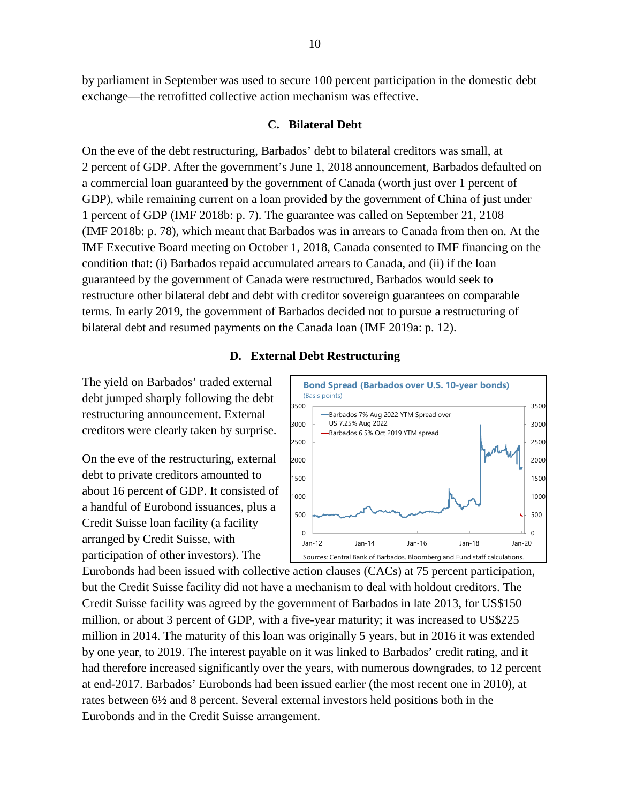by parliament in September was used to secure 100 percent participation in the domestic debt exchange—the retrofitted collective action mechanism was effective.

#### **C. Bilateral Debt**

On the eve of the debt restructuring, Barbados' debt to bilateral creditors was small, at 2 percent of GDP. After the government's June 1, 2018 announcement, Barbados defaulted on a commercial loan guaranteed by the government of Canada (worth just over 1 percent of GDP), while remaining current on a loan provided by the government of China of just under 1 percent of GDP (IMF 2018b: p. 7). The guarantee was called on September 21, 2108 (IMF 2018b: p. 78), which meant that Barbados was in arrears to Canada from then on. At the IMF Executive Board meeting on October 1, 2018, Canada consented to IMF financing on the condition that: (i) Barbados repaid accumulated arrears to Canada, and (ii) if the loan guaranteed by the government of Canada were restructured, Barbados would seek to restructure other bilateral debt and debt with creditor sovereign guarantees on comparable terms. In early 2019, the government of Barbados decided not to pursue a restructuring of bilateral debt and resumed payments on the Canada loan (IMF 2019a: p. 12).

#### **D. External Debt Restructuring**

The yield on Barbados' traded external debt jumped sharply following the debt restructuring announcement. External creditors were clearly taken by surprise.

On the eve of the restructuring, external debt to private creditors amounted to about 16 percent of GDP. It consisted of a handful of Eurobond issuances, plus a Credit Suisse loan facility (a facility arranged by Credit Suisse, with participation of other investors). The



Eurobonds had been issued with collective action clauses (CACs) at 75 percent participation, but the Credit Suisse facility did not have a mechanism to deal with holdout creditors. The Credit Suisse facility was agreed by the government of Barbados in late 2013, for US\$150 million, or about 3 percent of GDP, with a five-year maturity; it was increased to US\$225 million in 2014. The maturity of this loan was originally 5 years, but in 2016 it was extended by one year, to 2019. The interest payable on it was linked to Barbados' credit rating, and it had therefore increased significantly over the years, with numerous downgrades, to 12 percent at end-2017. Barbados' Eurobonds had been issued earlier (the most recent one in 2010), at rates between 6½ and 8 percent. Several external investors held positions both in the Eurobonds and in the Credit Suisse arrangement.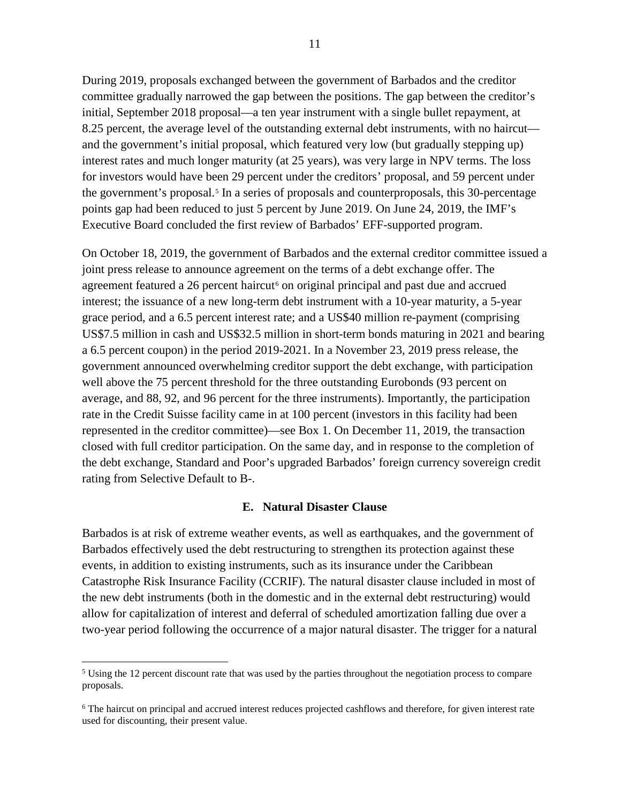During 2019, proposals exchanged between the government of Barbados and the creditor committee gradually narrowed the gap between the positions. The gap between the creditor's initial, September 2018 proposal—a ten year instrument with a single bullet repayment, at 8.25 percent, the average level of the outstanding external debt instruments, with no haircut and the government's initial proposal, which featured very low (but gradually stepping up) interest rates and much longer maturity (at 25 years), was very large in NPV terms. The loss for investors would have been 29 percent under the creditors' proposal, and 59 percent under the government's proposal.<sup>[5](#page-10-0)</sup> In a series of proposals and counterproposals, this 30-percentage points gap had been reduced to just 5 percent by June 2019. On June 24, 2019, the IMF's Executive Board concluded the first review of Barbados' EFF-supported program.

On October 18, 2019, the government of Barbados and the external creditor committee issued a joint press release to announce agreement on the terms of a debt exchange offer. The agreement featured a 2[6](#page-10-1) percent haircut<sup> $6$ </sup> on original principal and past due and accrued interest; the issuance of a new long-term debt instrument with a 10-year maturity, a 5-year grace period, and a 6.5 percent interest rate; and a US\$40 million re-payment (comprising US\$7.5 million in cash and US\$32.5 million in short-term bonds maturing in 2021 and bearing a 6.5 percent coupon) in the period 2019-2021. In a November 23, 2019 press release, the government announced overwhelming creditor support the debt exchange, with participation well above the 75 percent threshold for the three outstanding Eurobonds (93 percent on average, and 88, 92, and 96 percent for the three instruments). Importantly, the participation rate in the Credit Suisse facility came in at 100 percent (investors in this facility had been represented in the creditor committee)—see Box 1. On December 11, 2019, the transaction closed with full creditor participation. On the same day, and in response to the completion of the debt exchange, Standard and Poor's upgraded Barbados' foreign currency sovereign credit rating from Selective Default to B-.

#### **E. Natural Disaster Clause**

Barbados is at risk of extreme weather events, as well as earthquakes, and the government of Barbados effectively used the debt restructuring to strengthen its protection against these events, in addition to existing instruments, such as its insurance under the Caribbean Catastrophe Risk Insurance Facility (CCRIF). The natural disaster clause included in most of the new debt instruments (both in the domestic and in the external debt restructuring) would allow for capitalization of interest and deferral of scheduled amortization falling due over a two-year period following the occurrence of a major natural disaster. The trigger for a natural

<span id="page-10-0"></span><sup>&</sup>lt;sup>5</sup> Using the 12 percent discount rate that was used by the parties throughout the negotiation process to compare proposals.

<span id="page-10-1"></span><sup>&</sup>lt;sup>6</sup> The haircut on principal and accrued interest reduces projected cashflows and therefore, for given interest rate used for discounting, their present value.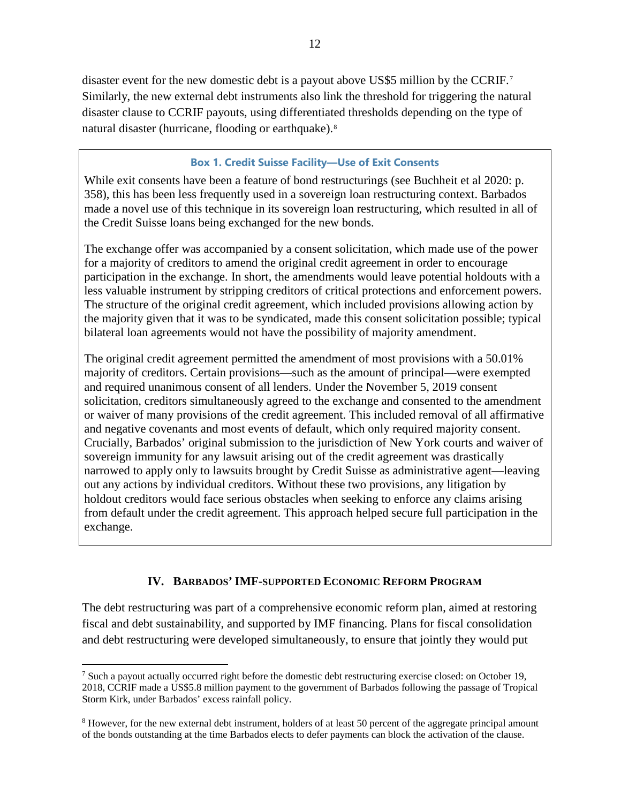disaster event for the new domestic debt is a payout above US\$5 million by the CCRIF.[7](#page-11-0) Similarly, the new external debt instruments also link the threshold for triggering the natural disaster clause to CCRIF payouts, using differentiated thresholds depending on the type of natural disaster (hurricane, flooding or earthquake).[8](#page-11-1)

# **Box 1. Credit Suisse Facility—Use of Exit Consents**

While exit consents have been a feature of bond restructurings (see Buchheit et al 2020: p. 358), this has been less frequently used in a sovereign loan restructuring context. Barbados made a novel use of this technique in its sovereign loan restructuring, which resulted in all of the Credit Suisse loans being exchanged for the new bonds.

The exchange offer was accompanied by a consent solicitation, which made use of the power for a majority of creditors to amend the original credit agreement in order to encourage participation in the exchange. In short, the amendments would leave potential holdouts with a less valuable instrument by stripping creditors of critical protections and enforcement powers. The structure of the original credit agreement, which included provisions allowing action by the majority given that it was to be syndicated, made this consent solicitation possible; typical bilateral loan agreements would not have the possibility of majority amendment.

The original credit agreement permitted the amendment of most provisions with a 50.01% majority of creditors. Certain provisions—such as the amount of principal—were exempted and required unanimous consent of all lenders. Under the November 5, 2019 consent solicitation, creditors simultaneously agreed to the exchange and consented to the amendment or waiver of many provisions of the credit agreement. This included removal of all affirmative and negative covenants and most events of default, which only required majority consent. Crucially, Barbados' original submission to the jurisdiction of New York courts and waiver of sovereign immunity for any lawsuit arising out of the credit agreement was drastically narrowed to apply only to lawsuits brought by Credit Suisse as administrative agent—leaving out any actions by individual creditors. Without these two provisions, any litigation by holdout creditors would face serious obstacles when seeking to enforce any claims arising from default under the credit agreement. This approach helped secure full participation in the exchange.

# **IV. BARBADOS' IMF-SUPPORTED ECONOMIC REFORM PROGRAM**

The debt restructuring was part of a comprehensive economic reform plan, aimed at restoring fiscal and debt sustainability, and supported by IMF financing. Plans for fiscal consolidation and debt restructuring were developed simultaneously, to ensure that jointly they would put

<span id="page-11-0"></span><sup>&</sup>lt;sup>7</sup> Such a payout actually occurred right before the domestic debt restructuring exercise closed: on October 19, 2018, CCRIF made a US\$5.8 million payment to the government of Barbados following the passage of Tropical Storm Kirk, under Barbados' excess rainfall policy.

<span id="page-11-1"></span><sup>&</sup>lt;sup>8</sup> However, for the new external debt instrument, holders of at least 50 percent of the aggregate principal amount of the bonds outstanding at the time Barbados elects to defer payments can block the activation of the clause.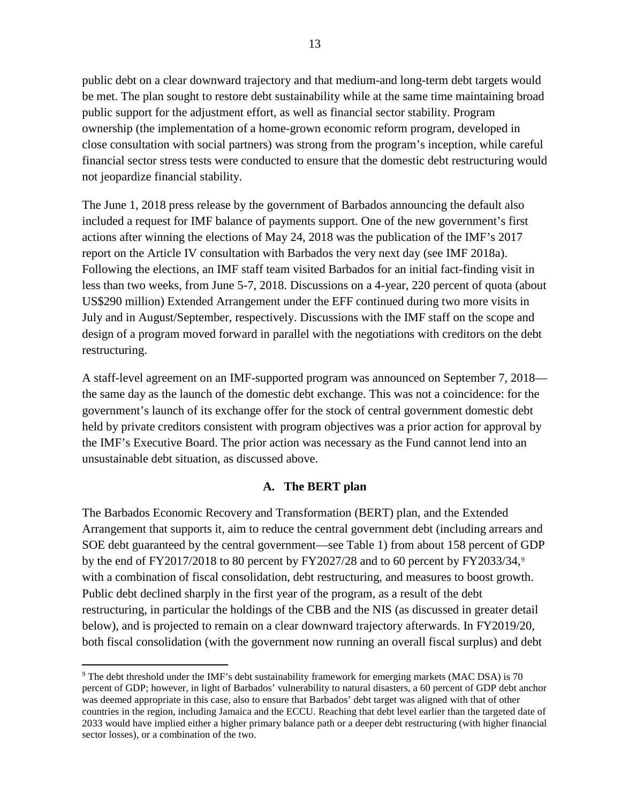public debt on a clear downward trajectory and that medium-and long-term debt targets would be met. The plan sought to restore debt sustainability while at the same time maintaining broad public support for the adjustment effort, as well as financial sector stability. Program ownership (the implementation of a home-grown economic reform program, developed in close consultation with social partners) was strong from the program's inception, while careful financial sector stress tests were conducted to ensure that the domestic debt restructuring would not jeopardize financial stability.

The June 1, 2018 press release by the government of Barbados announcing the default also included a request for IMF balance of payments support. One of the new government's first actions after winning the elections of May 24, 2018 was the publication of the IMF's 2017 report on the Article IV consultation with Barbados the very next day (see IMF 2018a). Following the elections, an IMF staff team visited Barbados for an initial fact-finding visit in less than two weeks, from June 5-7, 2018. Discussions on a 4-year, 220 percent of quota (about US\$290 million) Extended Arrangement under the EFF continued during two more visits in July and in August/September, respectively. Discussions with the IMF staff on the scope and design of a program moved forward in parallel with the negotiations with creditors on the debt restructuring.

A staff-level agreement on an IMF-supported program was announced on September 7, 2018 the same day as the launch of the domestic debt exchange. This was not a coincidence: for the government's launch of its exchange offer for the stock of central government domestic debt held by private creditors consistent with program objectives was a prior action for approval by the IMF's Executive Board. The prior action was necessary as the Fund cannot lend into an unsustainable debt situation, as discussed above.

# **A. The BERT plan**

The Barbados Economic Recovery and Transformation (BERT) plan, and the Extended Arrangement that supports it, aim to reduce the central government debt (including arrears and SOE debt guaranteed by the central government—see [Table 1\)](#page-6-0) from about 158 percent of GDP by the end of FY2017/2018 to 80 percent by FY2027/28 and to 60 percent by FY2033/34, $\degree$ with a combination of fiscal consolidation, debt restructuring, and measures to boost growth. Public debt declined sharply in the first year of the program, as a result of the debt restructuring, in particular the holdings of the CBB and the NIS (as discussed in greater detail below), and is projected to remain on a clear downward trajectory afterwards. In FY2019/20, both fiscal consolidation (with the government now running an overall fiscal surplus) and debt

<span id="page-12-0"></span> <sup>9</sup> The debt threshold under the IMF's debt sustainability framework for emerging markets (MAC DSA) is 70 percent of GDP; however, in light of Barbados' vulnerability to natural disasters, a 60 percent of GDP debt anchor was deemed appropriate in this case, also to ensure that Barbados' debt target was aligned with that of other countries in the region, including Jamaica and the ECCU. Reaching that debt level earlier than the targeted date of 2033 would have implied either a higher primary balance path or a deeper debt restructuring (with higher financial sector losses), or a combination of the two.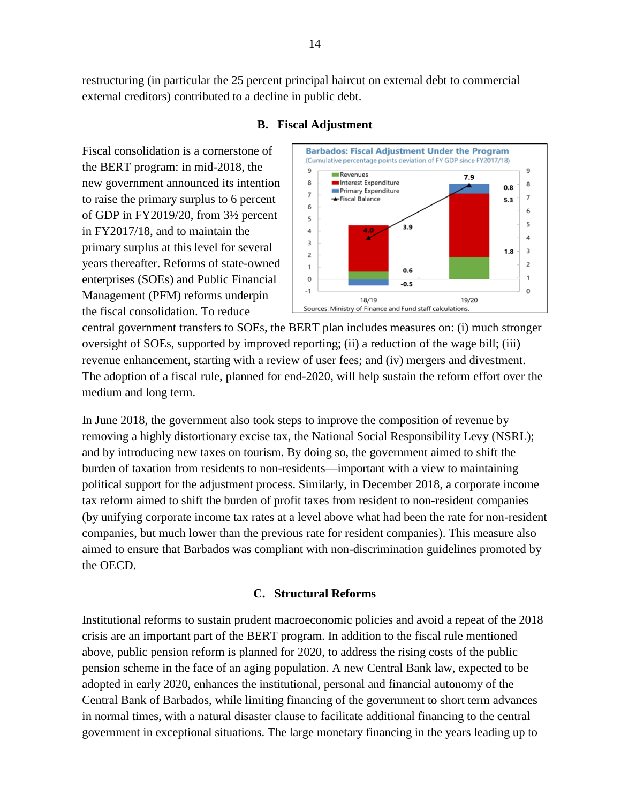restructuring (in particular the 25 percent principal haircut on external debt to commercial external creditors) contributed to a decline in public debt.



# **B. Fiscal Adjustment**

Fiscal consolidation is a cornerstone of the BERT program: in mid-2018, the new government announced its intention to raise the primary surplus to 6 percent of GDP in FY2019/20, from 3½ percent in FY2017/18, and to maintain the primary surplus at this level for several years thereafter. Reforms of state-owned enterprises (SOEs) and Public Financial Management (PFM) reforms underpin the fiscal consolidation. To reduce

central government transfers to SOEs, the BERT plan includes measures on: (i) much stronger oversight of SOEs, supported by improved reporting; (ii) a reduction of the wage bill; (iii) revenue enhancement, starting with a review of user fees; and (iv) mergers and divestment. The adoption of a fiscal rule, planned for end-2020, will help sustain the reform effort over the medium and long term.

In June 2018, the government also took steps to improve the composition of revenue by removing a highly distortionary excise tax, the National Social Responsibility Levy (NSRL); and by introducing new taxes on tourism. By doing so, the government aimed to shift the burden of taxation from residents to non-residents—important with a view to maintaining political support for the adjustment process. Similarly, in December 2018, a corporate income tax reform aimed to shift the burden of profit taxes from resident to non-resident companies (by unifying corporate income tax rates at a level above what had been the rate for non-resident companies, but much lower than the previous rate for resident companies). This measure also aimed to ensure that Barbados was compliant with non-discrimination guidelines promoted by the OECD.

# **C. Structural Reforms**

Institutional reforms to sustain prudent macroeconomic policies and avoid a repeat of the 2018 crisis are an important part of the BERT program. In addition to the fiscal rule mentioned above, public pension reform is planned for 2020, to address the rising costs of the public pension scheme in the face of an aging population. A new Central Bank law, expected to be adopted in early 2020, enhances the institutional, personal and financial autonomy of the Central Bank of Barbados, while limiting financing of the government to short term advances in normal times, with a natural disaster clause to facilitate additional financing to the central government in exceptional situations. The large monetary financing in the years leading up to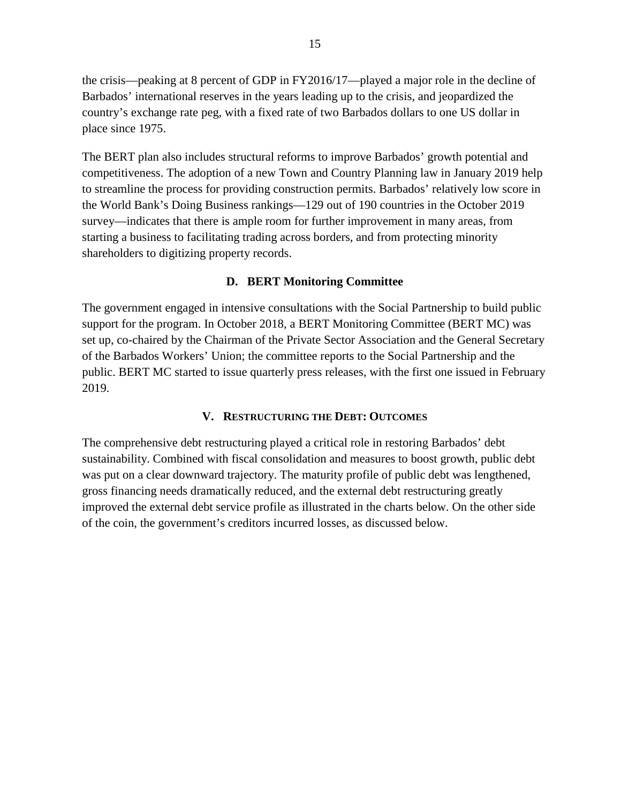the crisis—peaking at 8 percent of GDP in FY2016/17—played a major role in the decline of Barbados' international reserves in the years leading up to the crisis, and jeopardized the country's exchange rate peg, with a fixed rate of two Barbados dollars to one US dollar in place since 1975.

The BERT plan also includes structural reforms to improve Barbados' growth potential and competitiveness. The adoption of a new Town and Country Planning law in January 2019 help to streamline the process for providing construction permits. Barbados' relatively low score in the World Bank's Doing Business rankings—129 out of 190 countries in the October 2019 survey—indicates that there is ample room for further improvement in many areas, from starting a business to facilitating trading across borders, and from protecting minority shareholders to digitizing property records.

#### **D. BERT Monitoring Committee**

The government engaged in intensive consultations with the Social Partnership to build public support for the program. In October 2018, a BERT Monitoring Committee (BERT MC) was set up, co-chaired by the Chairman of the Private Sector Association and the General Secretary of the Barbados Workers' Union; the committee reports to the Social Partnership and the public. BERT MC started to issue quarterly press releases, with the first one issued in February 2019.

#### **V. RESTRUCTURING THE DEBT: OUTCOMES**

The comprehensive debt restructuring played a critical role in restoring Barbados' debt sustainability. Combined with fiscal consolidation and measures to boost growth, public debt was put on a clear downward trajectory. The maturity profile of public debt was lengthened, gross financing needs dramatically reduced, and the external debt restructuring greatly improved the external debt service profile as illustrated in the charts below. On the other side of the coin, the government's creditors incurred losses, as discussed below.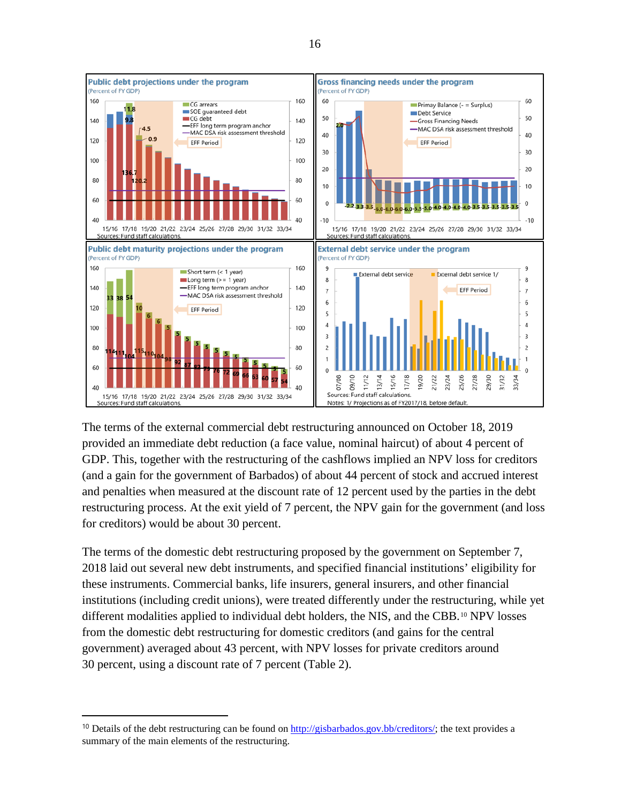<span id="page-15-0"></span>

The terms of the external commercial debt restructuring announced on October 18, 2019 provided an immediate debt reduction (a face value, nominal haircut) of about 4 percent of GDP. This, together with the restructuring of the cashflows implied an NPV loss for creditors (and a gain for the government of Barbados) of about 44 percent of stock and accrued interest and penalties when measured at the discount rate of 12 percent used by the parties in the debt restructuring process. At the exit yield of 7 percent, the NPV gain for the government (and loss for creditors) would be about 30 percent.

The terms of the domestic debt restructuring proposed by the government on September 7, 2018 laid out several new debt instruments, and specified financial institutions' eligibility for these instruments. Commercial banks, life insurers, general insurers, and other financial institutions (including credit unions), were treated differently under the restructuring, while yet different modalities applied to individual debt holders, the NIS, and the CBB.<sup>[10](#page-15-1)</sup> NPV losses from the domestic debt restructuring for domestic creditors (and gains for the central government) averaged about 43 percent, with NPV losses for private creditors around 30 percent, using a discount rate of 7 percent [\(Table 2\)](#page-15-0).

 $\overline{a}$ 

<span id="page-15-1"></span><sup>&</sup>lt;sup>10</sup> Details of the debt restructuring can be found on  $\frac{http://gisbarbados.gov.bb/creditors/}$ ; the text provides a summary of the main elements of the restructuring.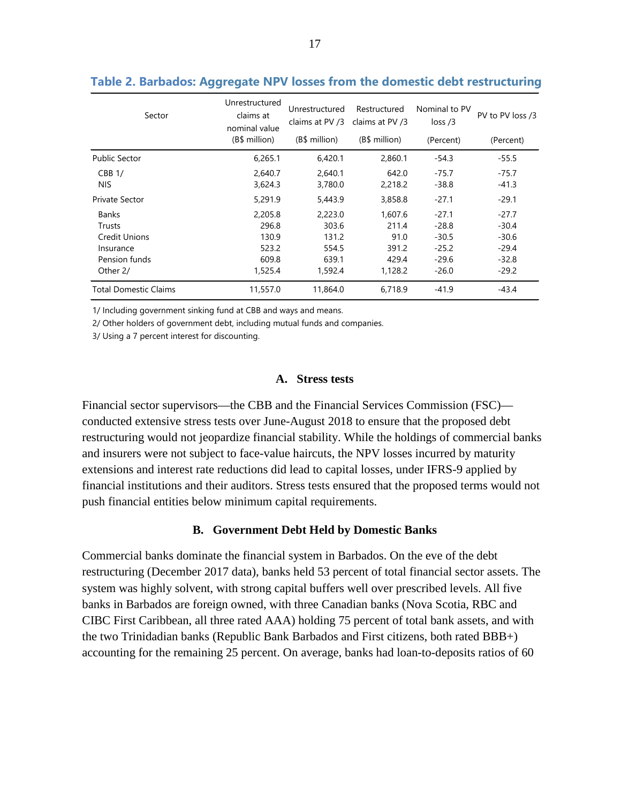| Sector                       | Unrestructured<br>claims at<br>nominal value | Unrestructured<br>claims at PV /3 | Restructured<br>claims at PV /3 | Nominal to PV<br>loss/3 | PV to PV loss /3<br>(Percent) |  |
|------------------------------|----------------------------------------------|-----------------------------------|---------------------------------|-------------------------|-------------------------------|--|
|                              | (B\$ million)                                | (B\$ million)                     | (B\$ million)                   | (Percent)               |                               |  |
| <b>Public Sector</b>         | 6,265.1                                      | 6,420.1                           | 2,860.1                         | $-54.3$                 | $-55.5$                       |  |
| CBB1/                        | 2,640.7                                      | 2,640.1                           | 642.0                           | $-75.7$                 | $-75.7$                       |  |
| NIS.                         | 3,624.3                                      | 3,780.0                           | 2,218.2                         | $-38.8$                 | $-41.3$                       |  |
| Private Sector               | 5,291.9                                      | 5,443.9                           | 3,858.8                         | $-27.1$                 | $-29.1$                       |  |
| <b>Banks</b>                 | 2,205.8                                      | 2,223.0                           | 1,607.6                         | $-27.1$                 | $-27.7$                       |  |
| <b>Trusts</b>                | 296.8                                        | 303.6                             | 211.4                           | $-28.8$                 | $-30.4$                       |  |
| <b>Credit Unions</b>         | 130.9                                        | 131.2                             | 91.0                            | $-30.5$                 | $-30.6$                       |  |
| Insurance                    | 523.2                                        | 554.5                             | 391.2                           | $-25.2$                 | $-29.4$                       |  |
| Pension funds                | 609.8                                        | 639.1                             | 429.4                           | $-29.6$                 | $-32.8$                       |  |
| Other 2/                     | 1,525.4                                      | 1,592.4                           | 1,128.2                         | $-26.0$                 | $-29.2$                       |  |
| <b>Total Domestic Claims</b> | 11,557.0                                     | 11,864.0                          | 6,718.9                         | $-41.9$                 | -43.4                         |  |

#### **Table 2. Barbados: Aggregate NPV losses from the domestic debt restructuring**

1/ Including government sinking fund at CBB and ways and means.

2/ Other holders of government debt, including mutual funds and companies.

3/ Using a 7 percent interest for discounting.

# **A. Stress tests**

Financial sector supervisors—the CBB and the Financial Services Commission (FSC) conducted extensive stress tests over June-August 2018 to ensure that the proposed debt restructuring would not jeopardize financial stability. While the holdings of commercial banks and insurers were not subject to face-value haircuts, the NPV losses incurred by maturity extensions and interest rate reductions did lead to capital losses, under IFRS-9 applied by financial institutions and their auditors. Stress tests ensured that the proposed terms would not push financial entities below minimum capital requirements.

#### **B. Government Debt Held by Domestic Banks**

Commercial banks dominate the financial system in Barbados. On the eve of the debt restructuring (December 2017 data), banks held 53 percent of total financial sector assets. The system was highly solvent, with strong capital buffers well over prescribed levels. All five banks in Barbados are foreign owned, with three Canadian banks (Nova Scotia, RBC and CIBC First Caribbean, all three rated AAA) holding 75 percent of total bank assets, and with the two Trinidadian banks (Republic Bank Barbados and First citizens, both rated BBB+) accounting for the remaining 25 percent. On average, banks had loan-to-deposits ratios of 60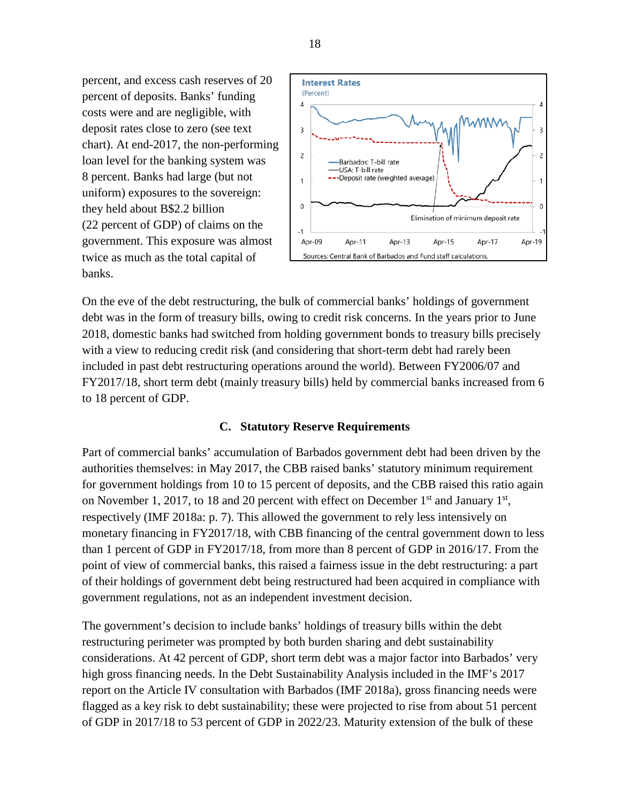percent, and excess cash reserves of 20 percent of deposits. Banks' funding costs were and are negligible, with deposit rates close to zero (see text chart). At end-2017, the non-performing loan level for the banking system was 8 percent. Banks had large (but not uniform) exposures to the sovereign: they held about B\$2.2 billion (22 percent of GDP) of claims on the government. This exposure was almost twice as much as the total capital of banks.



On the eve of the debt restructuring, the bulk of commercial banks' holdings of government debt was in the form of treasury bills, owing to credit risk concerns. In the years prior to June 2018, domestic banks had switched from holding government bonds to treasury bills precisely with a view to reducing credit risk (and considering that short-term debt had rarely been included in past debt restructuring operations around the world). Between FY2006/07 and FY2017/18, short term debt (mainly treasury bills) held by commercial banks increased from 6 to 18 percent of GDP.

# **C. Statutory Reserve Requirements**

Part of commercial banks' accumulation of Barbados government debt had been driven by the authorities themselves: in May 2017, the CBB raised banks' statutory minimum requirement for government holdings from 10 to 15 percent of deposits, and the CBB raised this ratio again on November 1, 2017, to 18 and 20 percent with effect on December  $1<sup>st</sup>$  and January  $1<sup>st</sup>$ , respectively (IMF 2018a: p. 7). This allowed the government to rely less intensively on monetary financing in FY2017/18, with CBB financing of the central government down to less than 1 percent of GDP in FY2017/18, from more than 8 percent of GDP in 2016/17. From the point of view of commercial banks, this raised a fairness issue in the debt restructuring: a part of their holdings of government debt being restructured had been acquired in compliance with government regulations, not as an independent investment decision.

The government's decision to include banks' holdings of treasury bills within the debt restructuring perimeter was prompted by both burden sharing and debt sustainability considerations. At 42 percent of GDP, short term debt was a major factor into Barbados' very high gross financing needs. In the Debt Sustainability Analysis included in the IMF's 2017 report on the Article IV consultation with Barbados (IMF 2018a), gross financing needs were flagged as a key risk to debt sustainability; these were projected to rise from about 51 percent of GDP in 2017/18 to 53 percent of GDP in 2022/23. Maturity extension of the bulk of these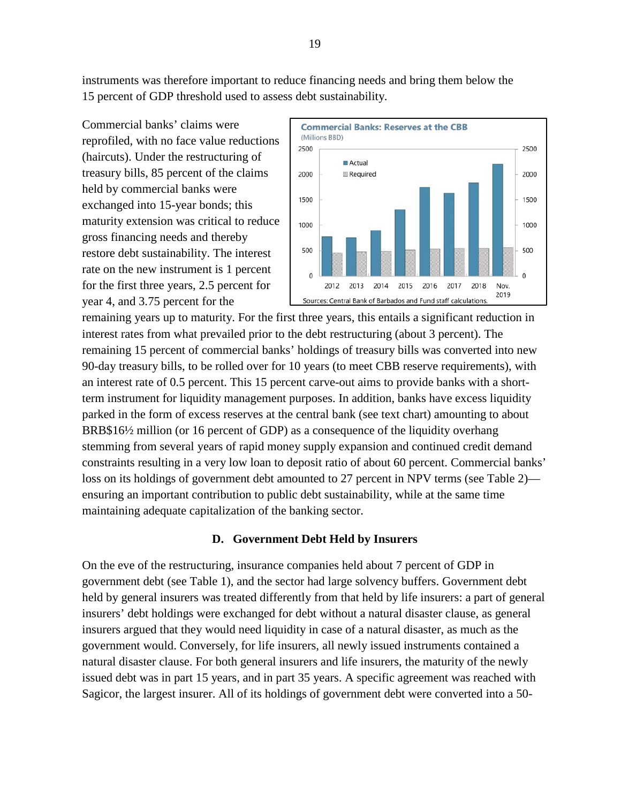instruments was therefore important to reduce financing needs and bring them below the 15 percent of GDP threshold used to assess debt sustainability.

Commercial banks' claims were reprofiled, with no face value reductions (haircuts). Under the restructuring of treasury bills, 85 percent of the claims held by commercial banks were exchanged into 15-year bonds; this maturity extension was critical to reduce gross financing needs and thereby restore debt sustainability. The interest rate on the new instrument is 1 percent for the first three years, 2.5 percent for year 4, and 3.75 percent for the



remaining years up to maturity. For the first three years, this entails a significant reduction in interest rates from what prevailed prior to the debt restructuring (about 3 percent). The remaining 15 percent of commercial banks' holdings of treasury bills was converted into new 90-day treasury bills, to be rolled over for 10 years (to meet CBB reserve requirements), with an interest rate of 0.5 percent. This 15 percent carve-out aims to provide banks with a shortterm instrument for liquidity management purposes. In addition, banks have excess liquidity parked in the form of excess reserves at the central bank (see text chart) amounting to about BRB\$16½ million (or 16 percent of GDP) as a consequence of the liquidity overhang stemming from several years of rapid money supply expansion and continued credit demand constraints resulting in a very low loan to deposit ratio of about 60 percent. Commercial banks' loss on its holdings of government debt amounted to 27 percent in NPV terms (see Table 2) ensuring an important contribution to public debt sustainability, while at the same time maintaining adequate capitalization of the banking sector.

# **D. Government Debt Held by Insurers**

On the eve of the restructuring, insurance companies held about 7 percent of GDP in government debt (see Table 1), and the sector had large solvency buffers. Government debt held by general insurers was treated differently from that held by life insurers: a part of general insurers' debt holdings were exchanged for debt without a natural disaster clause, as general insurers argued that they would need liquidity in case of a natural disaster, as much as the government would. Conversely, for life insurers, all newly issued instruments contained a natural disaster clause. For both general insurers and life insurers, the maturity of the newly issued debt was in part 15 years, and in part 35 years. A specific agreement was reached with Sagicor, the largest insurer. All of its holdings of government debt were converted into a 50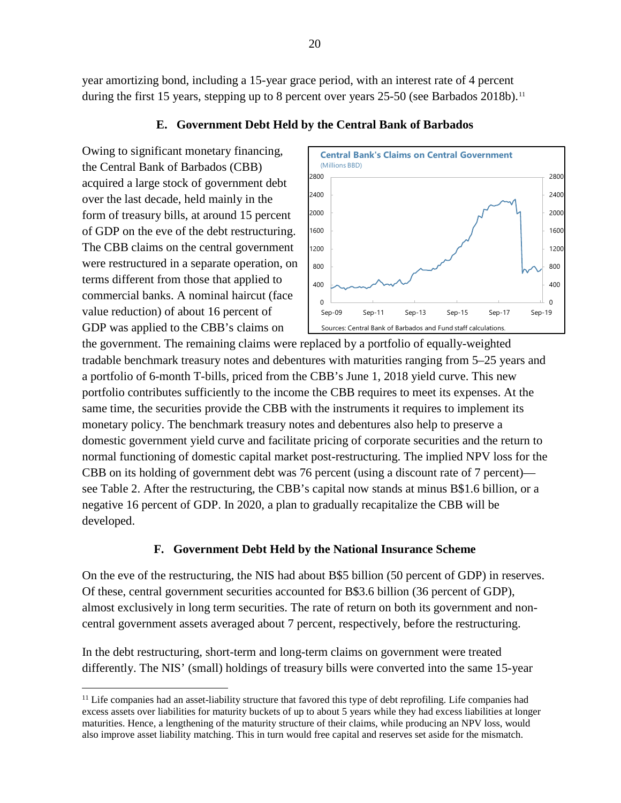year amortizing bond, including a 15-year grace period, with an interest rate of 4 percent during the first 15 years, stepping up to 8 percent over years 25-50 (see Barbados 2018b).<sup>[11](#page-19-0)</sup>

# **E. Government Debt Held by the Central Bank of Barbados**

Owing to significant monetary financing, the Central Bank of Barbados (CBB) acquired a large stock of government debt over the last decade, held mainly in the form of treasury bills, at around 15 percent of GDP on the eve of the debt restructuring. The CBB claims on the central government were restructured in a separate operation, on terms different from those that applied to commercial banks. A nominal haircut (face value reduction) of about 16 percent of GDP was applied to the CBB's claims on



the government. The remaining claims were replaced by a portfolio of equally-weighted tradable benchmark treasury notes and debentures with maturities ranging from 5–25 years and a portfolio of 6-month T-bills, priced from the CBB's June 1, 2018 yield curve. This new portfolio contributes sufficiently to the income the CBB requires to meet its expenses. At the same time, the securities provide the CBB with the instruments it requires to implement its monetary policy. The benchmark treasury notes and debentures also help to preserve a domestic government yield curve and facilitate pricing of corporate securities and the return to normal functioning of domestic capital market post-restructuring. The implied NPV loss for the CBB on its holding of government debt was 76 percent (using a discount rate of 7 percent) see [Table 2.](#page-15-0) After the restructuring, the CBB's capital now stands at minus B\$1.6 billion, or a negative 16 percent of GDP. In 2020, a plan to gradually recapitalize the CBB will be developed.

# **F. Government Debt Held by the National Insurance Scheme**

On the eve of the restructuring, the NIS had about B\$5 billion (50 percent of GDP) in reserves. Of these, central government securities accounted for B\$3.6 billion (36 percent of GDP), almost exclusively in long term securities. The rate of return on both its government and noncentral government assets averaged about 7 percent, respectively, before the restructuring.

In the debt restructuring, short-term and long-term claims on government were treated differently. The NIS' (small) holdings of treasury bills were converted into the same 15-year

<span id="page-19-0"></span><sup>&</sup>lt;sup>11</sup> Life companies had an asset-liability structure that favored this type of debt reprofiling. Life companies had excess assets over liabilities for maturity buckets of up to about 5 years while they had excess liabilities at longer maturities. Hence, a lengthening of the maturity structure of their claims, while producing an NPV loss, would also improve asset liability matching. This in turn would free capital and reserves set aside for the mismatch.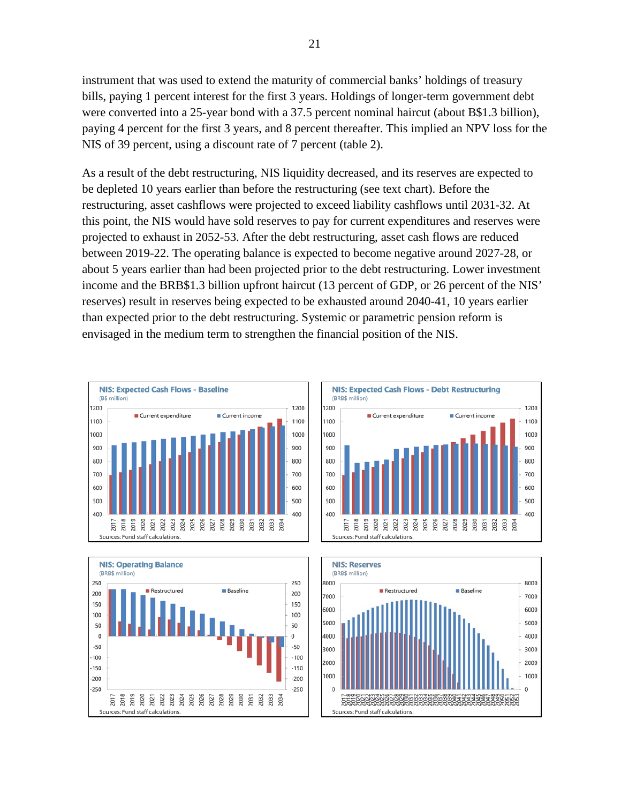instrument that was used to extend the maturity of commercial banks' holdings of treasury bills, paying 1 percent interest for the first 3 years. Holdings of longer-term government debt were converted into a 25-year bond with a 37.5 percent nominal haircut (about B\$1.3 billion), paying 4 percent for the first 3 years, and 8 percent thereafter. This implied an NPV loss for the NIS of 39 percent, using a discount rate of 7 percent (table 2).

As a result of the debt restructuring, NIS liquidity decreased, and its reserves are expected to be depleted 10 years earlier than before the restructuring (see text chart). Before the restructuring, asset cashflows were projected to exceed liability cashflows until 2031-32. At this point, the NIS would have sold reserves to pay for current expenditures and reserves were projected to exhaust in 2052-53. After the debt restructuring, asset cash flows are reduced between 2019-22. The operating balance is expected to become negative around 2027-28, or about 5 years earlier than had been projected prior to the debt restructuring. Lower investment income and the BRB\$1.3 billion upfront haircut (13 percent of GDP, or 26 percent of the NIS' reserves) result in reserves being expected to be exhausted around 2040-41, 10 years earlier than expected prior to the debt restructuring. Systemic or parametric pension reform is envisaged in the medium term to strengthen the financial position of the NIS.







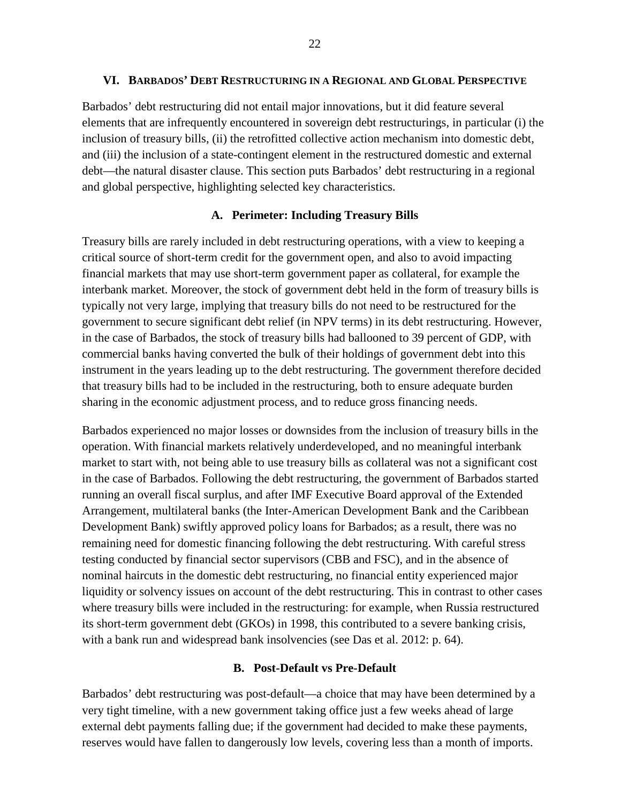#### **VI. BARBADOS' DEBT RESTRUCTURING IN A REGIONAL AND GLOBAL PERSPECTIVE**

Barbados' debt restructuring did not entail major innovations, but it did feature several elements that are infrequently encountered in sovereign debt restructurings, in particular (i) the inclusion of treasury bills, (ii) the retrofitted collective action mechanism into domestic debt, and (iii) the inclusion of a state-contingent element in the restructured domestic and external debt—the natural disaster clause. This section puts Barbados' debt restructuring in a regional and global perspective, highlighting selected key characteristics.

#### **A. Perimeter: Including Treasury Bills**

Treasury bills are rarely included in debt restructuring operations, with a view to keeping a critical source of short-term credit for the government open, and also to avoid impacting financial markets that may use short-term government paper as collateral, for example the interbank market. Moreover, the stock of government debt held in the form of treasury bills is typically not very large, implying that treasury bills do not need to be restructured for the government to secure significant debt relief (in NPV terms) in its debt restructuring. However, in the case of Barbados, the stock of treasury bills had ballooned to 39 percent of GDP, with commercial banks having converted the bulk of their holdings of government debt into this instrument in the years leading up to the debt restructuring. The government therefore decided that treasury bills had to be included in the restructuring, both to ensure adequate burden sharing in the economic adjustment process, and to reduce gross financing needs.

Barbados experienced no major losses or downsides from the inclusion of treasury bills in the operation. With financial markets relatively underdeveloped, and no meaningful interbank market to start with, not being able to use treasury bills as collateral was not a significant cost in the case of Barbados. Following the debt restructuring, the government of Barbados started running an overall fiscal surplus, and after IMF Executive Board approval of the Extended Arrangement, multilateral banks (the Inter-American Development Bank and the Caribbean Development Bank) swiftly approved policy loans for Barbados; as a result, there was no remaining need for domestic financing following the debt restructuring. With careful stress testing conducted by financial sector supervisors (CBB and FSC), and in the absence of nominal haircuts in the domestic debt restructuring, no financial entity experienced major liquidity or solvency issues on account of the debt restructuring. This in contrast to other cases where treasury bills were included in the restructuring: for example, when Russia restructured its short-term government debt (GKOs) in 1998, this contributed to a severe banking crisis, with a bank run and widespread bank insolvencies (see Das et al. 2012: p. 64).

#### **B. Post-Default vs Pre-Default**

Barbados' debt restructuring was post-default—a choice that may have been determined by a very tight timeline, with a new government taking office just a few weeks ahead of large external debt payments falling due; if the government had decided to make these payments, reserves would have fallen to dangerously low levels, covering less than a month of imports.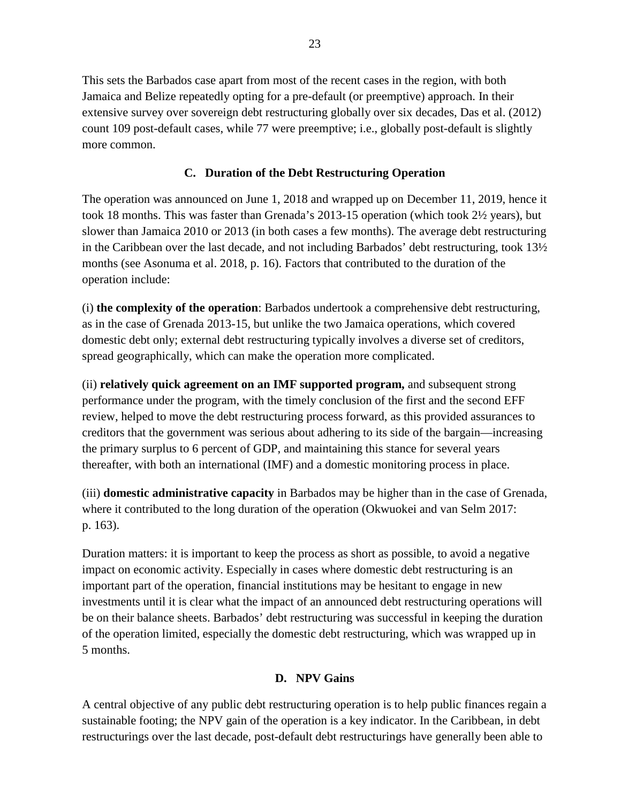This sets the Barbados case apart from most of the recent cases in the region, with both Jamaica and Belize repeatedly opting for a pre-default (or preemptive) approach. In their extensive survey over sovereign debt restructuring globally over six decades, Das et al. (2012) count 109 post-default cases, while 77 were preemptive; i.e., globally post-default is slightly more common.

# **C. Duration of the Debt Restructuring Operation**

The operation was announced on June 1, 2018 and wrapped up on December 11, 2019, hence it took 18 months. This was faster than Grenada's 2013-15 operation (which took 2½ years), but slower than Jamaica 2010 or 2013 (in both cases a few months). The average debt restructuring in the Caribbean over the last decade, and not including Barbados' debt restructuring, took  $13\frac{1}{2}$ months (see Asonuma et al. 2018, p. 16). Factors that contributed to the duration of the operation include:

(i) **the complexity of the operation**: Barbados undertook a comprehensive debt restructuring, as in the case of Grenada 2013-15, but unlike the two Jamaica operations, which covered domestic debt only; external debt restructuring typically involves a diverse set of creditors, spread geographically, which can make the operation more complicated.

(ii) **relatively quick agreement on an IMF supported program,** and subsequent strong performance under the program, with the timely conclusion of the first and the second EFF review, helped to move the debt restructuring process forward, as this provided assurances to creditors that the government was serious about adhering to its side of the bargain—increasing the primary surplus to 6 percent of GDP, and maintaining this stance for several years thereafter, with both an international (IMF) and a domestic monitoring process in place.

(iii) **domestic administrative capacity** in Barbados may be higher than in the case of Grenada, where it contributed to the long duration of the operation (Okwuokei and van Selm 2017: p. 163).

Duration matters: it is important to keep the process as short as possible, to avoid a negative impact on economic activity. Especially in cases where domestic debt restructuring is an important part of the operation, financial institutions may be hesitant to engage in new investments until it is clear what the impact of an announced debt restructuring operations will be on their balance sheets. Barbados' debt restructuring was successful in keeping the duration of the operation limited, especially the domestic debt restructuring, which was wrapped up in 5 months.

# **D. NPV Gains**

A central objective of any public debt restructuring operation is to help public finances regain a sustainable footing; the NPV gain of the operation is a key indicator. In the Caribbean, in debt restructurings over the last decade, post-default debt restructurings have generally been able to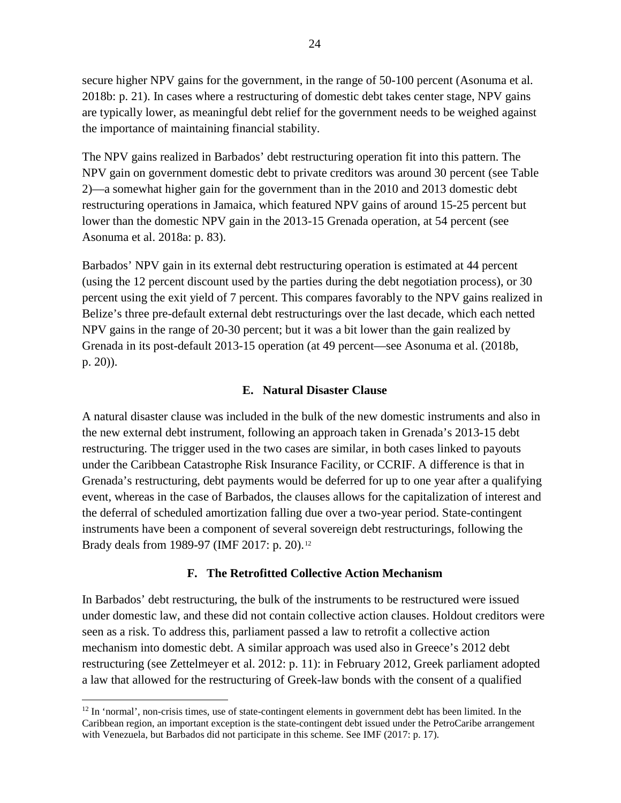secure higher NPV gains for the government, in the range of 50-100 percent (Asonuma et al. 2018b: p. 21). In cases where a restructuring of domestic debt takes center stage, NPV gains are typically lower, as meaningful debt relief for the government needs to be weighed against the importance of maintaining financial stability.

The NPV gains realized in Barbados' debt restructuring operation fit into this pattern. The NPV gain on government domestic debt to private creditors was around 30 percent (see [Table](#page-15-0)  [2\)](#page-15-0)—a somewhat higher gain for the government than in the 2010 and 2013 domestic debt restructuring operations in Jamaica, which featured NPV gains of around 15-25 percent but lower than the domestic NPV gain in the 2013-15 Grenada operation, at 54 percent (see Asonuma et al. 2018a: p. 83).

Barbados' NPV gain in its external debt restructuring operation is estimated at 44 percent (using the 12 percent discount used by the parties during the debt negotiation process), or 30 percent using the exit yield of 7 percent. This compares favorably to the NPV gains realized in Belize's three pre-default external debt restructurings over the last decade, which each netted NPV gains in the range of 20-30 percent; but it was a bit lower than the gain realized by Grenada in its post-default 2013-15 operation (at 49 percent—see Asonuma et al. (2018b, p. 20)).

# **E. Natural Disaster Clause**

A natural disaster clause was included in the bulk of the new domestic instruments and also in the new external debt instrument, following an approach taken in Grenada's 2013-15 debt restructuring. The trigger used in the two cases are similar, in both cases linked to payouts under the Caribbean Catastrophe Risk Insurance Facility, or CCRIF. A difference is that in Grenada's restructuring, debt payments would be deferred for up to one year after a qualifying event, whereas in the case of Barbados, the clauses allows for the capitalization of interest and the deferral of scheduled amortization falling due over a two-year period. State-contingent instruments have been a component of several sovereign debt restructurings, following the Brady deals from 1989-97 (IMF 2017: p. 20).<sup>[12](#page-23-0)</sup>

# **F. The Retrofitted Collective Action Mechanism**

In Barbados' debt restructuring, the bulk of the instruments to be restructured were issued under domestic law, and these did not contain collective action clauses. Holdout creditors were seen as a risk. To address this, parliament passed a law to retrofit a collective action mechanism into domestic debt. A similar approach was used also in Greece's 2012 debt restructuring (see Zettelmeyer et al. 2012: p. 11): in February 2012, Greek parliament adopted a law that allowed for the restructuring of Greek-law bonds with the consent of a qualified

<span id="page-23-0"></span> $12$  In 'normal', non-crisis times, use of state-contingent elements in government debt has been limited. In the Caribbean region, an important exception is the state-contingent debt issued under the PetroCaribe arrangement with Venezuela, but Barbados did not participate in this scheme. See IMF (2017: p. 17).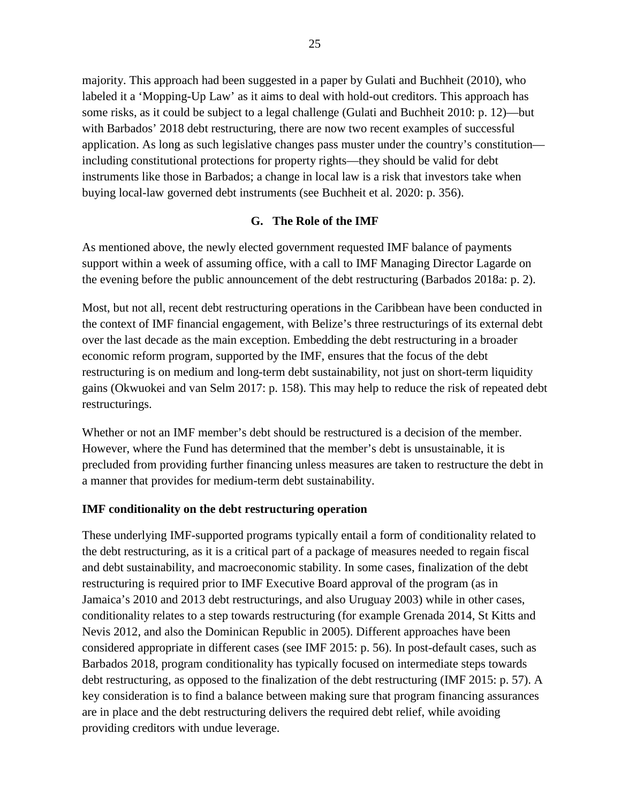majority. This approach had been suggested in a paper by Gulati and Buchheit (2010), who labeled it a 'Mopping-Up Law' as it aims to deal with hold-out creditors. This approach has some risks, as it could be subject to a legal challenge (Gulati and Buchheit 2010: p. 12)—but with Barbados' 2018 debt restructuring, there are now two recent examples of successful application. As long as such legislative changes pass muster under the country's constitution including constitutional protections for property rights—they should be valid for debt instruments like those in Barbados; a change in local law is a risk that investors take when buying local-law governed debt instruments (see Buchheit et al. 2020: p. 356).

# **G. The Role of the IMF**

As mentioned above, the newly elected government requested IMF balance of payments support within a week of assuming office, with a call to IMF Managing Director Lagarde on the evening before the public announcement of the debt restructuring (Barbados 2018a: p. 2).

Most, but not all, recent debt restructuring operations in the Caribbean have been conducted in the context of IMF financial engagement, with Belize's three restructurings of its external debt over the last decade as the main exception. Embedding the debt restructuring in a broader economic reform program, supported by the IMF, ensures that the focus of the debt restructuring is on medium and long-term debt sustainability, not just on short-term liquidity gains (Okwuokei and van Selm 2017: p. 158). This may help to reduce the risk of repeated debt restructurings.

Whether or not an IMF member's debt should be restructured is a decision of the member. However, where the Fund has determined that the member's debt is unsustainable, it is precluded from providing further financing unless measures are taken to restructure the debt in a manner that provides for medium-term debt sustainability.

# **IMF conditionality on the debt restructuring operation**

These underlying IMF-supported programs typically entail a form of conditionality related to the debt restructuring, as it is a critical part of a package of measures needed to regain fiscal and debt sustainability, and macroeconomic stability. In some cases, finalization of the debt restructuring is required prior to IMF Executive Board approval of the program (as in Jamaica's 2010 and 2013 debt restructurings, and also Uruguay 2003) while in other cases, conditionality relates to a step towards restructuring (for example Grenada 2014, St Kitts and Nevis 2012, and also the Dominican Republic in 2005). Different approaches have been considered appropriate in different cases (see IMF 2015: p. 56). In post-default cases, such as Barbados 2018, program conditionality has typically focused on intermediate steps towards debt restructuring, as opposed to the finalization of the debt restructuring (IMF 2015: p. 57). A key consideration is to find a balance between making sure that program financing assurances are in place and the debt restructuring delivers the required debt relief, while avoiding providing creditors with undue leverage.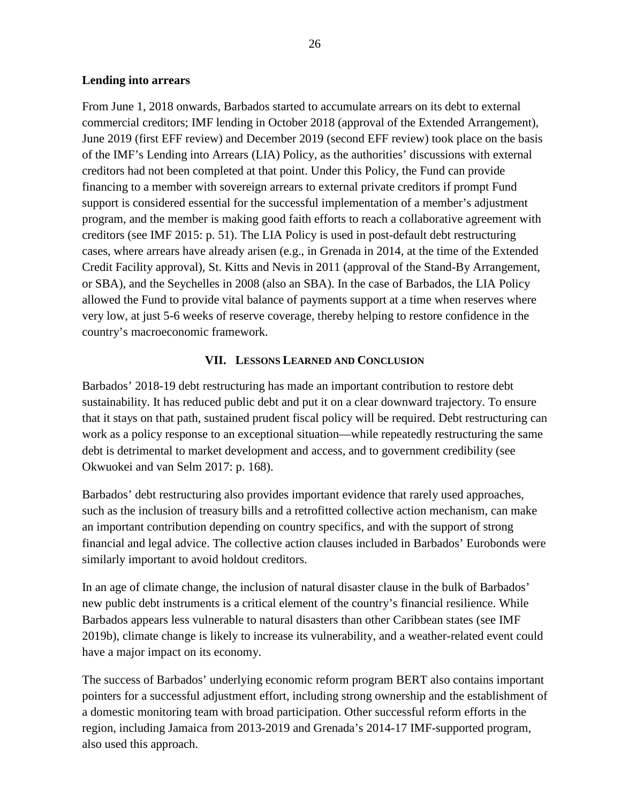#### **Lending into arrears**

From June 1, 2018 onwards, Barbados started to accumulate arrears on its debt to external commercial creditors; IMF lending in October 2018 (approval of the Extended Arrangement), June 2019 (first EFF review) and December 2019 (second EFF review) took place on the basis of the IMF's Lending into Arrears (LIA) Policy, as the authorities' discussions with external creditors had not been completed at that point. Under this Policy, the Fund can provide financing to a member with sovereign arrears to external private creditors if prompt Fund support is considered essential for the successful implementation of a member's adjustment program, and the member is making good faith efforts to reach a collaborative agreement with creditors (see IMF 2015: p. 51). The LIA Policy is used in post-default debt restructuring cases, where arrears have already arisen (e.g., in Grenada in 2014, at the time of the Extended Credit Facility approval), St. Kitts and Nevis in 2011 (approval of the Stand-By Arrangement, or SBA), and the Seychelles in 2008 (also an SBA). In the case of Barbados, the LIA Policy allowed the Fund to provide vital balance of payments support at a time when reserves where very low, at just 5-6 weeks of reserve coverage, thereby helping to restore confidence in the country's macroeconomic framework.

# **VII. LESSONS LEARNED AND CONCLUSION**

Barbados' 2018-19 debt restructuring has made an important contribution to restore debt sustainability. It has reduced public debt and put it on a clear downward trajectory. To ensure that it stays on that path, sustained prudent fiscal policy will be required. Debt restructuring can work as a policy response to an exceptional situation—while repeatedly restructuring the same debt is detrimental to market development and access, and to government credibility (see Okwuokei and van Selm 2017: p. 168).

Barbados' debt restructuring also provides important evidence that rarely used approaches, such as the inclusion of treasury bills and a retrofitted collective action mechanism, can make an important contribution depending on country specifics, and with the support of strong financial and legal advice. The collective action clauses included in Barbados' Eurobonds were similarly important to avoid holdout creditors.

In an age of climate change, the inclusion of natural disaster clause in the bulk of Barbados' new public debt instruments is a critical element of the country's financial resilience. While Barbados appears less vulnerable to natural disasters than other Caribbean states (see IMF 2019b), climate change is likely to increase its vulnerability, and a weather-related event could have a major impact on its economy.

The success of Barbados' underlying economic reform program BERT also contains important pointers for a successful adjustment effort, including strong ownership and the establishment of a domestic monitoring team with broad participation. Other successful reform efforts in the region, including Jamaica from 2013-2019 and Grenada's 2014-17 IMF-supported program, also used this approach.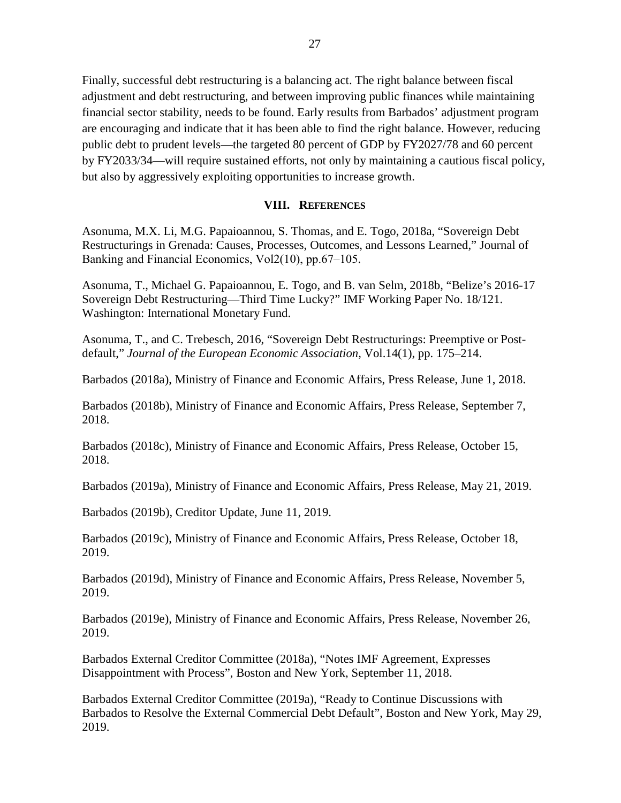Finally, successful debt restructuring is a balancing act. The right balance between fiscal adjustment and debt restructuring, and between improving public finances while maintaining financial sector stability, needs to be found. Early results from Barbados' adjustment program are encouraging and indicate that it has been able to find the right balance. However, reducing public debt to prudent levels—the targeted 80 percent of GDP by FY2027/78 and 60 percent by FY2033/34—will require sustained efforts, not only by maintaining a cautious fiscal policy, but also by aggressively exploiting opportunities to increase growth.

#### **VIII. REFERENCES**

Asonuma, M.X. Li, M.G. Papaioannou, S. Thomas, and E. Togo, 2018a, "Sovereign Debt Restructurings in Grenada: Causes, Processes, Outcomes, and Lessons Learned," Journal of Banking and Financial Economics, Vol2(10), pp.67-105.

Asonuma, T., Michael G. Papaioannou, E. Togo, and B. van Selm, 2018b, "Belize's 2016-17 Sovereign Debt Restructuring—Third Time Lucky?" IMF Working Paper No. 18/121. Washington: International Monetary Fund.

Asonuma, T., and C. Trebesch, 2016, "Sovereign Debt Restructurings: Preemptive or Postdefault," *Journal of the European Economic Association*, Vol.14(1), pp. 175–214.

Barbados (2018a), Ministry of Finance and Economic Affairs, Press Release, June 1, 2018.

Barbados (2018b), Ministry of Finance and Economic Affairs, Press Release, September 7, 2018.

Barbados (2018c), Ministry of Finance and Economic Affairs, Press Release, October 15, 2018.

Barbados (2019a), Ministry of Finance and Economic Affairs, Press Release, May 21, 2019.

Barbados (2019b), Creditor Update, June 11, 2019.

Barbados (2019c), Ministry of Finance and Economic Affairs, Press Release, October 18, 2019.

Barbados (2019d), Ministry of Finance and Economic Affairs, Press Release, November 5, 2019.

Barbados (2019e), Ministry of Finance and Economic Affairs, Press Release, November 26, 2019.

Barbados External Creditor Committee (2018a), "Notes IMF Agreement, Expresses Disappointment with Process", Boston and New York, September 11, 2018.

Barbados External Creditor Committee (2019a), "Ready to Continue Discussions with Barbados to Resolve the External Commercial Debt Default", Boston and New York, May 29, 2019.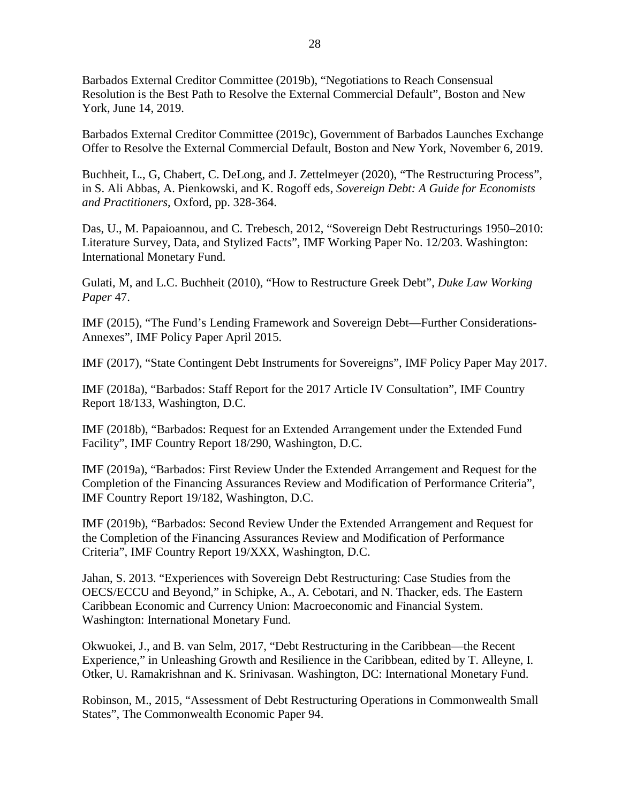Barbados External Creditor Committee (2019b), "Negotiations to Reach Consensual Resolution is the Best Path to Resolve the External Commercial Default", Boston and New York, June 14, 2019.

Barbados External Creditor Committee (2019c), Government of Barbados Launches Exchange Offer to Resolve the External Commercial Default, Boston and New York, November 6, 2019.

Buchheit, L., G, Chabert, C. DeLong, and J. Zettelmeyer (2020), "The Restructuring Process", in S. Ali Abbas, A. Pienkowski, and K. Rogoff eds, *Sovereign Debt: A Guide for Economists and Practitioners*, Oxford, pp. 328-364.

Das, U., M. Papaioannou, and C. Trebesch, 2012, ["Sovereign Debt Restructurings 1950–2010:](http://www.imf.org/external/pubs/ft/wp/2012/wp12203.pdf)  [Literature Survey, Data, and Stylized Facts"](http://www.imf.org/external/pubs/ft/wp/2012/wp12203.pdf), IMF Working Paper No. 12/203. Washington: International Monetary Fund.

Gulati, M, and L.C. Buchheit (2010), "How to Restructure Greek Debt", *Duke Law Working Paper* 47.

IMF (2015), "The Fund's Lending Framework and Sovereign Debt—Further Considerations-Annexes", IMF Policy Paper April 2015.

IMF (2017), "State Contingent Debt Instruments for Sovereigns", IMF Policy Paper May 2017.

IMF (2018a), "Barbados: Staff Report for the 2017 Article IV Consultation", IMF Country Report 18/133, Washington, D.C.

IMF (2018b), "Barbados: Request for an Extended Arrangement under the Extended Fund Facility", IMF Country Report 18/290, Washington, D.C.

IMF (2019a), "Barbados: First Review Under the Extended Arrangement and Request for the Completion of the Financing Assurances Review and Modification of Performance Criteria", IMF Country Report 19/182, Washington, D.C.

IMF (2019b), "Barbados: Second Review Under the Extended Arrangement and Request for the Completion of the Financing Assurances Review and Modification of Performance Criteria", IMF Country Report 19/XXX, Washington, D.C.

Jahan, S. 2013. "Experiences with Sovereign Debt Restructuring: Case Studies from the OECS/ECCU and Beyond," in Schipke, A., A. Cebotari, and N. Thacker, eds. The Eastern Caribbean Economic and Currency Union: Macroeconomic and Financial System. Washington: International Monetary Fund.

Okwuokei, J., and B. van Selm, 2017, "Debt Restructuring in the Caribbean—the Recent Experience," in Unleashing Growth and Resilience in the Caribbean, edited by T. Alleyne, I. Otker, U. Ramakrishnan and K. Srinivasan. Washington, DC: International Monetary Fund.

Robinson, M., 2015, "Assessment of Debt Restructuring Operations in Commonwealth Small States", The Commonwealth Economic Paper 94.